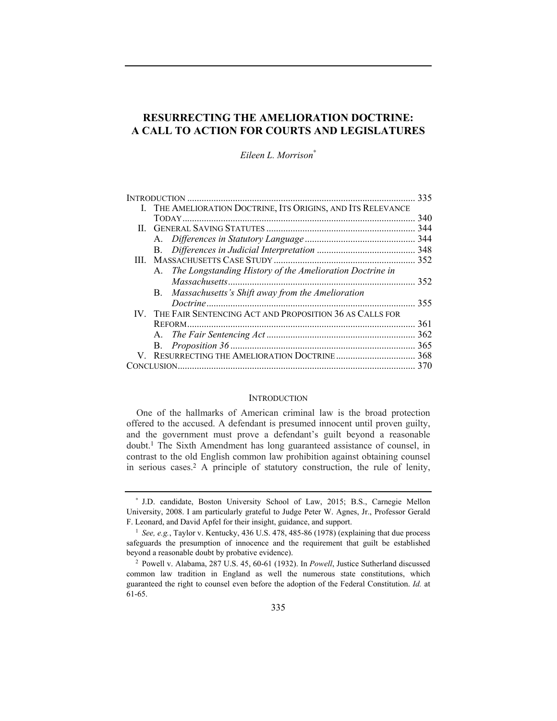# **RESURRECTING THE AMELIORATION DOCTRINE: A CALL TO ACTION FOR COURTS AND LEGISLATURES**

*Eileen L. Morrison*<sup>∗</sup>

|  |                                                              | 335 |
|--|--------------------------------------------------------------|-----|
|  | I. THE AMELIORATION DOCTRINE, ITS ORIGINS, AND ITS RELEVANCE |     |
|  |                                                              | 340 |
|  |                                                              | 344 |
|  |                                                              | 344 |
|  | В.                                                           |     |
|  |                                                              | 352 |
|  | A. The Longstanding History of the Amelioration Doctrine in  |     |
|  |                                                              | 352 |
|  | B. Massachusetts's Shift away from the Amelioration          |     |
|  | Doctrine                                                     | 355 |
|  | IV. THE FAIR SENTENCING ACT AND PROPOSITION 36 AS CALLS FOR  |     |
|  |                                                              | 361 |
|  |                                                              | 362 |
|  |                                                              | 365 |
|  |                                                              | 368 |
|  |                                                              | 370 |
|  |                                                              |     |

### **INTRODUCTION**

One of the hallmarks of American criminal law is the broad protection offered to the accused. A defendant is presumed innocent until proven guilty, and the government must prove a defendant's guilt beyond a reasonable doubt.1 The Sixth Amendment has long guaranteed assistance of counsel, in contrast to the old English common law prohibition against obtaining counsel in serious cases.2 A principle of statutory construction, the rule of lenity,

<sup>∗</sup> J.D. candidate, Boston University School of Law, 2015; B.S., Carnegie Mellon University, 2008. I am particularly grateful to Judge Peter W. Agnes, Jr., Professor Gerald F. Leonard, and David Apfel for their insight, guidance, and support.

<sup>&</sup>lt;sup>1</sup> *See, e.g.*, Taylor v. Kentucky, 436 U.S. 478, 485-86 (1978) (explaining that due process safeguards the presumption of innocence and the requirement that guilt be established beyond a reasonable doubt by probative evidence). 2 Powell v. Alabama, 287 U.S. 45, 60-61 (1932). In *Powell*, Justice Sutherland discussed

common law tradition in England as well the numerous state constitutions, which guaranteed the right to counsel even before the adoption of the Federal Constitution. *Id.* at 61-65.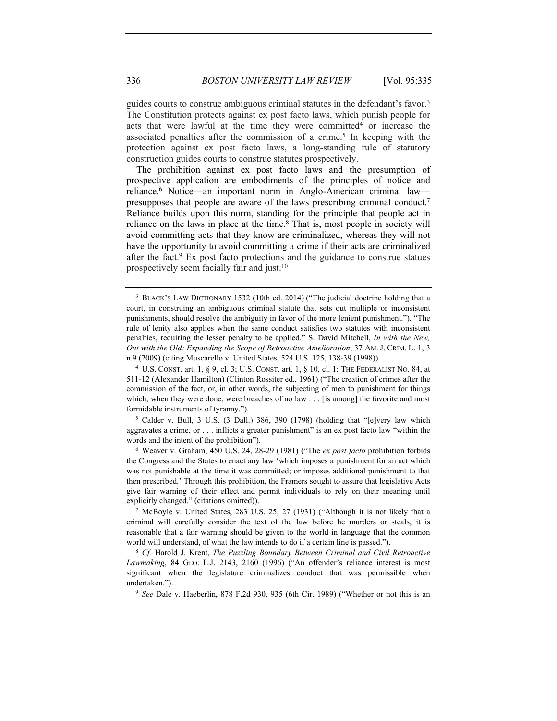guides courts to construe ambiguous criminal statutes in the defendant's favor.3 The Constitution protects against ex post facto laws, which punish people for acts that were lawful at the time they were committed<sup>4</sup> or increase the associated penalties after the commission of a crime.5 In keeping with the protection against ex post facto laws, a long-standing rule of statutory construction guides courts to construe statutes prospectively.

The prohibition against ex post facto laws and the presumption of prospective application are embodiments of the principles of notice and reliance.6 Notice—an important norm in Anglo-American criminal law presupposes that people are aware of the laws prescribing criminal conduct.7 Reliance builds upon this norm, standing for the principle that people act in reliance on the laws in place at the time.<sup>8</sup> That is, most people in society will avoid committing acts that they know are criminalized, whereas they will not have the opportunity to avoid committing a crime if their acts are criminalized after the fact.9 Ex post facto protections and the guidance to construe statues prospectively seem facially fair and just.10

aggravates a crime, or . . . inflicts a greater punishment" is an ex post facto law "within the words and the intent of the prohibition").

<sup>6</sup> Weaver v. Graham, 450 U.S. 24, 28-29 (1981) ("The *ex post facto* prohibition forbids the Congress and the States to enact any law 'which imposes a punishment for an act which was not punishable at the time it was committed; or imposes additional punishment to that then prescribed.' Through this prohibition, the Framers sought to assure that legislative Acts give fair warning of their effect and permit individuals to rely on their meaning until explicitly changed." (citations omitted)). 7 McBoyle v. United States, 283 U.S. 25, 27 (1931) ("Although it is not likely that a

criminal will carefully consider the text of the law before he murders or steals, it is reasonable that a fair warning should be given to the world in language that the common world will understand, of what the law intends to do if a certain line is passed.").<br><sup>8</sup> *Cf.* Harold J. Krent, *The Puzzling Boundary Between Criminal and Civil Retroactive* 

*Lawmaking*, 84 GEO. L.J. 2143, 2160 (1996) ("An offender's reliance interest is most significant when the legislature criminalizes conduct that was permissible when undertaken."). 9 *See* Dale v. Haeberlin, 878 F.2d 930, 935 (6th Cir. 1989) ("Whether or not this is an

<sup>&</sup>lt;sup>3</sup> BLACK'S LAW DICTIONARY 1532 (10th ed. 2014) ("The judicial doctrine holding that a court, in construing an ambiguous criminal statute that sets out multiple or inconsistent punishments, should resolve the ambiguity in favor of the more lenient punishment."). "The rule of lenity also applies when the same conduct satisfies two statutes with inconsistent penalties, requiring the lesser penalty to be applied." S. David Mitchell, *In with the New, Out with the Old: Expanding the Scope of Retroactive Amelioration*, 37 AM. J. CRIM. L. 1, 3 n.9 (2009) (citing Muscarello v. United States, 524 U.S. 125, 138-39 (1998)).

<sup>4</sup> U.S. CONST. art. 1, § 9, cl. 3; U.S. CONST. art. 1, § 10, cl. 1; THE FEDERALIST NO. 84, at 511-12 (Alexander Hamilton) (Clinton Rossiter ed., 1961) ("The creation of crimes after the commission of the fact, or, in other words, the subjecting of men to punishment for things which, when they were done, were breaches of no law . . . [is among] the favorite and most formidable instruments of tyranny.").<br><sup>5</sup> Calder v. Bull, 3 U.S. (3 Dall.) 386, 390 (1798) (holding that "[e]very law which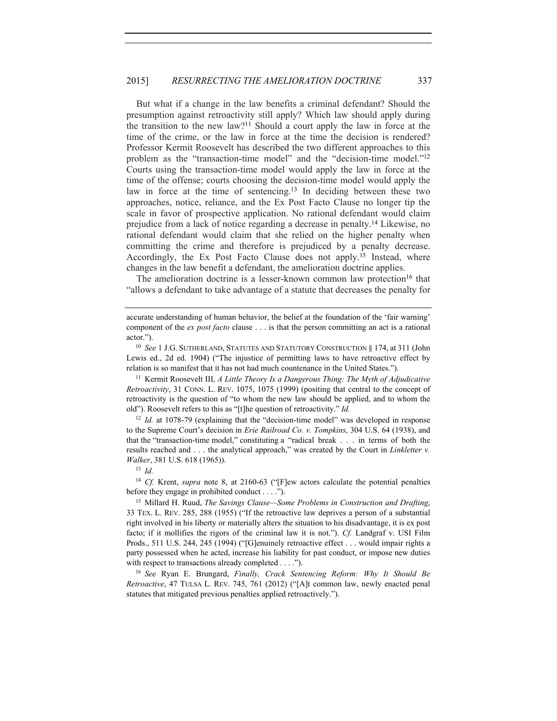But what if a change in the law benefits a criminal defendant? Should the presumption against retroactivity still apply? Which law should apply during the transition to the new law?11 Should a court apply the law in force at the time of the crime, or the law in force at the time the decision is rendered? Professor Kermit Roosevelt has described the two different approaches to this problem as the "transaction-time model" and the "decision-time model."12 Courts using the transaction-time model would apply the law in force at the time of the offense; courts choosing the decision-time model would apply the law in force at the time of sentencing.13 In deciding between these two approaches, notice, reliance, and the Ex Post Facto Clause no longer tip the scale in favor of prospective application. No rational defendant would claim prejudice from a lack of notice regarding a decrease in penalty.14 Likewise, no rational defendant would claim that she relied on the higher penalty when committing the crime and therefore is prejudiced by a penalty decrease. Accordingly, the Ex Post Facto Clause does not apply.15 Instead, where changes in the law benefit a defendant, the amelioration doctrine applies.

The amelioration doctrine is a lesser-known common law protection<sup>16</sup> that "allows a defendant to take advantage of a statute that decreases the penalty for

*Retroactivity*, 31 CONN. L. REV. 1075, 1075 (1999) (positing that central to the concept of retroactivity is the question of "to whom the new law should be applied, and to whom the old"). Roosevelt refers to this as "[t]he question of retroactivity." *Id.* 

<sup>12</sup> *Id.* at 1078-79 (explaining that the "decision-time model" was developed in response to the Supreme Court's decision in *Erie Railroad Co. v. Tompkins*, 304 U.S. 64 (1938), and that the "transaction-time model," constituting a "radical break . . . in terms of both the results reached and . . . the analytical approach," was created by the Court in *Linkletter v. Walker*, 381 U.S. 618 (1965)).<br><sup>13</sup> *Id.* 

<sup>14</sup> *Cf.* Krent, *supra* note 8, at 2160-63 ("[F]ew actors calculate the potential penalties before they engage in prohibited conduct . . . .").

<sup>15</sup> Millard H. Ruud, *The Savings Clause—Some Problems in Construction and Drafting*, 33 TEX. L. REV. 285, 288 (1955) ("If the retroactive law deprives a person of a substantial right involved in his liberty or materially alters the situation to his disadvantage, it is ex post facto; if it mollifies the rigors of the criminal law it is not."). *Cf.* Landgraf v. USI Film Prods., 511 U.S. 244, 245 (1994) ("[G]enuinely retroactive effect . . . would impair rights a party possessed when he acted, increase his liability for past conduct, or impose new duties with respect to transactions already completed . . . .").

<sup>16</sup> *See* Ryan E. Brungard, *Finally, Crack Sentencing Reform: Why It Should Be Retroactive*, 47 TULSA L. REV. 745, 761 (2012) ("[A]t common law, newly enacted penal statutes that mitigated previous penalties applied retroactively.").

accurate understanding of human behavior, the belief at the foundation of the 'fair warning' component of the *ex post facto* clause . . . is that the person committing an act is a rational actor.").<br><sup>10</sup> *See* 1 J.G. Sutherland, Statutes and Statutory Construction § 174, at 311 (John

Lewis ed., 2d ed. 1904) ("The injustice of permitting laws to have retroactive effect by relation is so manifest that it has not had much countenance in the United States."). 11 Kermit Roosevelt III, *A Little Theory Is a Dangerous Thing: The Myth of Adjudicative*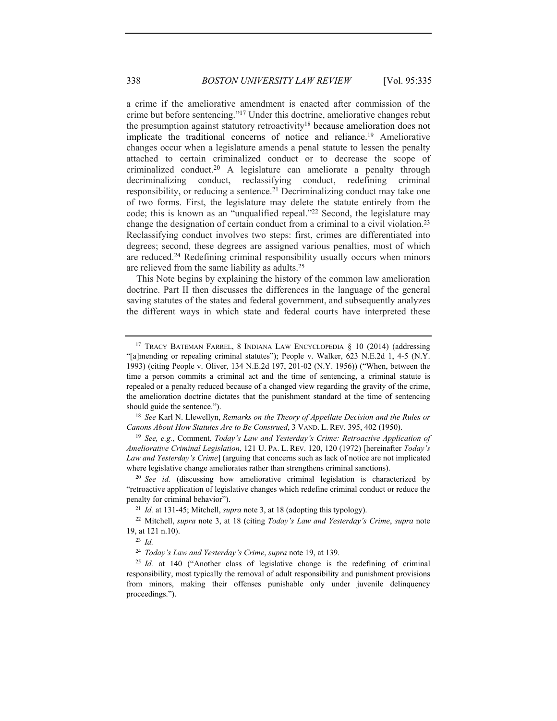a crime if the ameliorative amendment is enacted after commission of the crime but before sentencing."17 Under this doctrine, ameliorative changes rebut the presumption against statutory retroactivity18 because amelioration does not implicate the traditional concerns of notice and reliance.19 Ameliorative changes occur when a legislature amends a penal statute to lessen the penalty attached to certain criminalized conduct or to decrease the scope of criminalized conduct.20 A legislature can ameliorate a penalty through decriminalizing conduct, reclassifying conduct, redefining criminal responsibility, or reducing a sentence.21 Decriminalizing conduct may take one of two forms. First, the legislature may delete the statute entirely from the code; this is known as an "unqualified repeal."22 Second, the legislature may change the designation of certain conduct from a criminal to a civil violation.23 Reclassifying conduct involves two steps: first, crimes are differentiated into degrees; second, these degrees are assigned various penalties, most of which are reduced.24 Redefining criminal responsibility usually occurs when minors are relieved from the same liability as adults.25

This Note begins by explaining the history of the common law amelioration doctrine. Part II then discusses the differences in the language of the general saving statutes of the states and federal government, and subsequently analyzes the different ways in which state and federal courts have interpreted these

*Canons About How Statutes Are to Be Construed*, 3 VAND. L. REV. 395, 402 (1950). 19 *See, e.g.*, Comment, *Today's Law and Yesterday's Crime: Retroactive Application of* 

*Ameliorative Criminal Legislation*, 121 U. PA. L. REV. 120, 120 (1972) [hereinafter *Today's Law and Yesterday's Crime*] (arguing that concerns such as lack of notice are not implicated

where legislative change ameliorates rather than strengthens criminal sanctions).<br><sup>20</sup> *See id.* (discussing how ameliorative criminal legislation is characterized by "retroactive application of legislative changes which redefine criminal conduct or reduce the penalty for criminal behavior").<br><sup>21</sup> *Id.* at 131-45; Mitchell, *supra* note 3, at 18 (adopting this typology).<br><sup>22</sup> Mitchell, *supra* note 3, at 18 (citing *Today's Law and Yesterday's Crime, supra* note

19, at 121 n.10).

<sup>23</sup> *Id.*

<sup>&</sup>lt;sup>17</sup> TRACY BATEMAN FARREL, 8 INDIANA LAW ENCYCLOPEDIA § 10 (2014) (addressing "[a]mending or repealing criminal statutes"); People v. Walker, 623 N.E.2d 1, 4-5 (N.Y. 1993) (citing People v. Oliver, 134 N.E.2d 197, 201-02 (N.Y. 1956)) ("When, between the time a person commits a criminal act and the time of sentencing, a criminal statute is repealed or a penalty reduced because of a changed view regarding the gravity of the crime, the amelioration doctrine dictates that the punishment standard at the time of sentencing should guide the sentence."). 18 *See* Karl N. Llewellyn, *Remarks on the Theory of Appellate Decision and the Rules or* 

<sup>24</sup> *Today's Law and Yesterday's Crime*, *supra* note 19, at 139.

<sup>&</sup>lt;sup>25</sup> *Id.* at 140 ("Another class of legislative change is the redefining of criminal responsibility, most typically the removal of adult responsibility and punishment provisions from minors, making their offenses punishable only under juvenile delinquency proceedings.").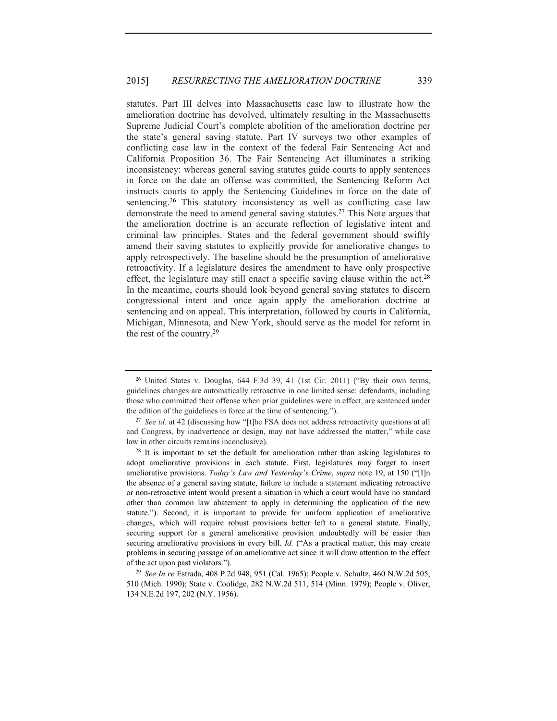statutes. Part III delves into Massachusetts case law to illustrate how the amelioration doctrine has devolved, ultimately resulting in the Massachusetts Supreme Judicial Court's complete abolition of the amelioration doctrine per the state's general saving statute. Part IV surveys two other examples of conflicting case law in the context of the federal Fair Sentencing Act and California Proposition 36. The Fair Sentencing Act illuminates a striking inconsistency: whereas general saving statutes guide courts to apply sentences in force on the date an offense was committed, the Sentencing Reform Act instructs courts to apply the Sentencing Guidelines in force on the date of sentencing.<sup>26</sup> This statutory inconsistency as well as conflicting case law demonstrate the need to amend general saving statutes.27 This Note argues that the amelioration doctrine is an accurate reflection of legislative intent and criminal law principles. States and the federal government should swiftly amend their saving statutes to explicitly provide for ameliorative changes to apply retrospectively. The baseline should be the presumption of ameliorative retroactivity. If a legislature desires the amendment to have only prospective effect, the legislature may still enact a specific saving clause within the act.<sup>28</sup> In the meantime, courts should look beyond general saving statutes to discern congressional intent and once again apply the amelioration doctrine at sentencing and on appeal. This interpretation, followed by courts in California, Michigan, Minnesota, and New York, should serve as the model for reform in the rest of the country.29

<sup>26</sup> United States v. Douglas, 644 F.3d 39, 41 (1st Cir. 2011) ("By their own terms, guidelines changes are automatically retroactive in one limited sense: defendants, including those who committed their offense when prior guidelines were in effect, are sentenced under the edition of the guidelines in force at the time of sentencing.").

<sup>&</sup>lt;sup>27</sup> *See id.* at 42 (discussing how "[t]he FSA does not address retroactivity questions at all and Congress, by inadvertence or design, may not have addressed the matter," while case law in other circuits remains inconclusive).

 $2<sup>8</sup>$  It is important to set the default for amelioration rather than asking legislatures to adopt ameliorative provisions in each statute. First, legislatures may forget to insert ameliorative provisions. *Today's Law and Yesterday's Crime*, *supra* note 19, at 150 ("[I]n the absence of a general saving statute, failure to include a statement indicating retroactive or non-retroactive intent would present a situation in which a court would have no standard other than common law abatement to apply in determining the application of the new statute."). Second, it is important to provide for uniform application of ameliorative changes, which will require robust provisions better left to a general statute. Finally, securing support for a general ameliorative provision undoubtedly will be easier than securing ameliorative provisions in every bill. *Id.* ("As a practical matter, this may create problems in securing passage of an ameliorative act since it will draw attention to the effect of the act upon past violators.").

<sup>29</sup> *See In re* Estrada, 408 P.2d 948, 951 (Cal. 1965); People v. Schultz, 460 N.W.2d 505, 510 (Mich. 1990); State v. Coolidge, 282 N.W.2d 511, 514 (Minn. 1979); People v. Oliver, 134 N.E.2d 197, 202 (N.Y. 1956).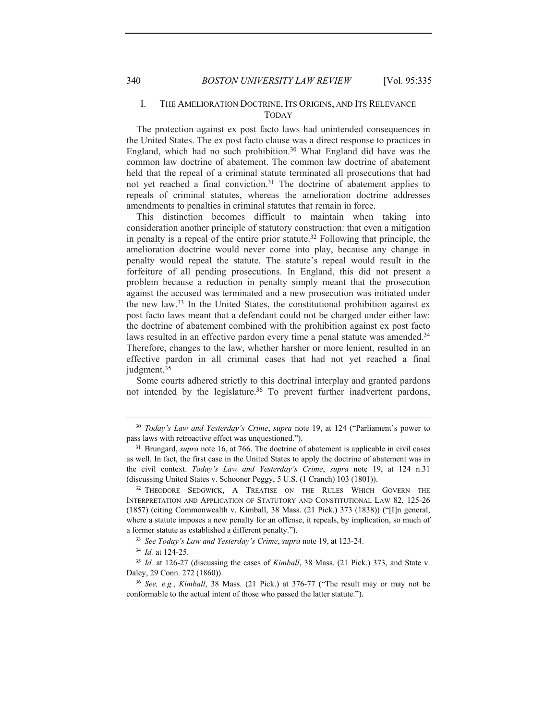# I. THE AMELIORATION DOCTRINE, ITS ORIGINS, AND ITS RELEVANCE TODAY

The protection against ex post facto laws had unintended consequences in the United States. The ex post facto clause was a direct response to practices in England, which had no such prohibition.<sup>30</sup> What England did have was the common law doctrine of abatement. The common law doctrine of abatement held that the repeal of a criminal statute terminated all prosecutions that had not yet reached a final conviction.31 The doctrine of abatement applies to repeals of criminal statutes, whereas the amelioration doctrine addresses amendments to penalties in criminal statutes that remain in force.

This distinction becomes difficult to maintain when taking into consideration another principle of statutory construction: that even a mitigation in penalty is a repeal of the entire prior statute.32 Following that principle, the amelioration doctrine would never come into play, because any change in penalty would repeal the statute. The statute's repeal would result in the forfeiture of all pending prosecutions. In England, this did not present a problem because a reduction in penalty simply meant that the prosecution against the accused was terminated and a new prosecution was initiated under the new law.33 In the United States, the constitutional prohibition against ex post facto laws meant that a defendant could not be charged under either law: the doctrine of abatement combined with the prohibition against ex post facto laws resulted in an effective pardon every time a penal statute was amended.<sup>34</sup> Therefore, changes to the law, whether harsher or more lenient, resulted in an effective pardon in all criminal cases that had not yet reached a final judgment.<sup>35</sup>

Some courts adhered strictly to this doctrinal interplay and granted pardons not intended by the legislature.<sup>36</sup> To prevent further inadvertent pardons,

<sup>30</sup> *Today's Law and Yesterday's Crime*, *supra* note 19, at 124 ("Parliament's power to pass laws with retroactive effect was unquestioned."). 31 Brungard, *supra* note 16, at 766. The doctrine of abatement is applicable in civil cases

as well. In fact, the first case in the United States to apply the doctrine of abatement was in the civil context. *Today's Law and Yesterday's Crime*, *supra* note 19, at 124 n.31 (discussing United States v. Schooner Peggy, 5 U.S. (1 Cranch) 103 (1801)). 32 THEODORE SEDGWICK, <sup>A</sup> TREATISE ON THE RULES WHICH GOVERN THE

INTERPRETATION AND APPLICATION OF STATUTORY AND CONSTITUTIONAL LAW 82, 125-26 (1857) (citing Commonwealth v. Kimball, 38 Mass. (21 Pick.) 373 (1838)) ("[I]n general, where a statute imposes a new penalty for an offense, it repeals, by implication, so much of a former statute as established a different penalty.").

<sup>33</sup> *See Today's Law and Yesterday's Crime*, *supra* note 19, at 123-24.

<sup>34</sup> *Id.* at 124-25.

<sup>35</sup> *Id.* at 126-27 (discussing the cases of *Kimball*, 38 Mass. (21 Pick.) 373, and State v. Daley, 29 Conn. 272 (1860)).

<sup>36</sup> *See, e.g.*, *Kimball*, 38 Mass. (21 Pick.) at 376-77 ("The result may or may not be conformable to the actual intent of those who passed the latter statute.").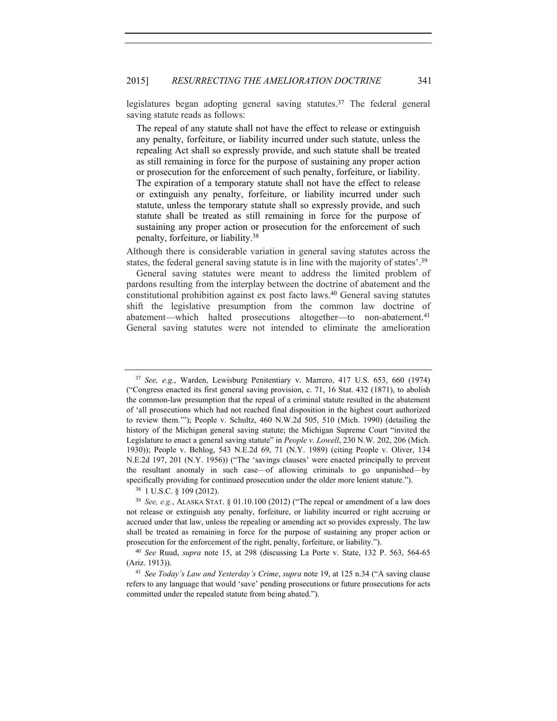legislatures began adopting general saving statutes.37 The federal general saving statute reads as follows:

The repeal of any statute shall not have the effect to release or extinguish any penalty, forfeiture, or liability incurred under such statute, unless the repealing Act shall so expressly provide, and such statute shall be treated as still remaining in force for the purpose of sustaining any proper action or prosecution for the enforcement of such penalty, forfeiture, or liability. The expiration of a temporary statute shall not have the effect to release or extinguish any penalty, forfeiture, or liability incurred under such statute, unless the temporary statute shall so expressly provide, and such statute shall be treated as still remaining in force for the purpose of sustaining any proper action or prosecution for the enforcement of such penalty, forfeiture, or liability.38

Although there is considerable variation in general saving statutes across the states, the federal general saving statute is in line with the majority of states'.39

General saving statutes were meant to address the limited problem of pardons resulting from the interplay between the doctrine of abatement and the constitutional prohibition against ex post facto laws.40 General saving statutes shift the legislative presumption from the common law doctrine of abatement—which halted prosecutions altogether—to non-abatement.41 General saving statutes were not intended to eliminate the amelioration

<sup>37</sup> *See, e.g.*, Warden, Lewisburg Penitentiary v. Marrero, 417 U.S. 653, 660 (1974) ("Congress enacted its first general saving provision, c. 71, 16 Stat. 432 (1871), to abolish the common-law presumption that the repeal of a criminal statute resulted in the abatement of 'all prosecutions which had not reached final disposition in the highest court authorized to review them.'"); People v. Schultz, 460 N.W.2d 505, 510 (Mich. 1990) (detailing the history of the Michigan general saving statute; the Michigan Supreme Court "invited the Legislature to enact a general saving statute" in *People v. Lowell*, 230 N.W. 202, 206 (Mich. 1930)); People v. Behlog, 543 N.E.2d 69, 71 (N.Y. 1989) (citing People v. Oliver, 134 N.E.2d 197, 201 (N.Y. 1956)) ("The 'savings clauses' were enacted principally to prevent the resultant anomaly in such case—of allowing criminals to go unpunished—by specifically providing for continued prosecution under the older more lenient statute."). <sup>38</sup> 1 U.S.C. § 109 (2012).

<sup>39</sup> *See, e.g.*, ALASKA STAT. § 01.10.100 (2012) ("The repeal or amendment of a law does not release or extinguish any penalty, forfeiture, or liability incurred or right accruing or accrued under that law, unless the repealing or amending act so provides expressly. The law shall be treated as remaining in force for the purpose of sustaining any proper action or prosecution for the enforcement of the right, penalty, forfeiture, or liability."). 40 *See* Ruud, *supra* note 15, at 298 (discussing La Porte v. State, 132 P. 563, 564-65

<sup>(</sup>Ariz. 1913)).

<sup>41</sup> *See Today's Law and Yesterday's Crime*, *supra* note 19, at 125 n.34 ("A saving clause refers to any language that would 'save' pending prosecutions or future prosecutions for acts committed under the repealed statute from being abated.").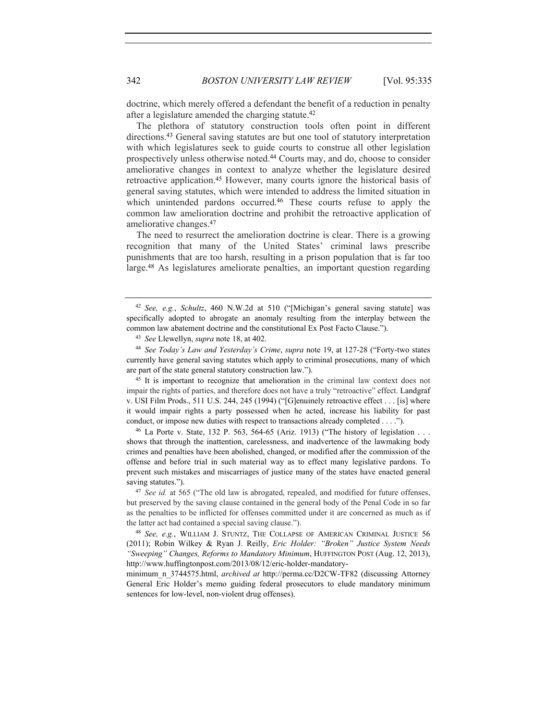doctrine, which merely offered a defendant the benefit of a reduction in penalty after a legislature amended the charging statute.42

The plethora of statutory construction tools often point in different directions.43 General saving statutes are but one tool of statutory interpretation with which legislatures seek to guide courts to construe all other legislation prospectively unless otherwise noted.44 Courts may, and do, choose to consider ameliorative changes in context to analyze whether the legislature desired retroactive application.45 However, many courts ignore the historical basis of general saving statutes, which were intended to address the limited situation in which unintended pardons occurred.<sup>46</sup> These courts refuse to apply the common law amelioration doctrine and prohibit the retroactive application of ameliorative changes.47

The need to resurrect the amelioration doctrine is clear. There is a growing recognition that many of the United States' criminal laws prescribe punishments that are too harsh, resulting in a prison population that is far too large.48 As legislatures ameliorate penalties, an important question regarding

<sup>45</sup> It is important to recognize that amelioration in the criminal law context does not impair the rights of parties, and therefore does not have a truly "retroactive" effect. Landgraf v. USI Film Prods., 511 U.S. 244, 245 (1994) ("[G]enuinely retroactive effect . . . [is] where it would impair rights a party possessed when he acted, increase his liability for past conduct, or impose new duties with respect to transactions already completed . . . .").

<sup>46</sup> La Porte v. State, 132 P. 563, 564-65 (Ariz. 1913) ("The history of legislation . . . shows that through the inattention, carelessness, and inadvertence of the lawmaking body crimes and penalties have been abolished, changed, or modified after the commission of the offense and before trial in such material way as to effect many legislative pardons. To prevent such mistakes and miscarriages of justice many of the states have enacted general saving statutes.").<br><sup>47</sup> *See id.* at 565 ("The old law is abrogated, repealed, and modified for future offenses,

but preserved by the saving clause contained in the general body of the Penal Code in so far as the penalties to be inflicted for offenses committed under it are concerned as much as if the latter act had contained a special saving clause.").

minimum\_n\_3744575.html, *archived at* http://perma.cc/D2CW-TF82 (discussing Attorney General Eric Holder's memo guiding federal prosecutors to elude mandatory minimum sentences for low-level, non-violent drug offenses).

<sup>42</sup> *See, e.g.*, *Schultz*, 460 N.W.2d at 510 ("[Michigan's general saving statute] was specifically adopted to abrogate an anomaly resulting from the interplay between the common law abatement doctrine and the constitutional Ex Post Facto Clause.").

<sup>43</sup> *See* Llewellyn, *supra* note 18, at 402.

<sup>44</sup> *See Today's Law and Yesterday's Crime*, *supra* note 19, at 127-28 ("Forty-two states currently have general saving statutes which apply to criminal prosecutions, many of which are part of the state general statutory construction law.").

<sup>48</sup> *See, e.g.*, WILLIAM J. STUNTZ, THE COLLAPSE OF AMERICAN CRIMINAL JUSTICE 56 (2011); Robin Wilkey & Ryan J. Reilly, *Eric Holder: "Broken" Justice System Needs "Sweeping" Changes, Reforms to Mandatory Minimum*, HUFFINGTON POST (Aug. 12, 2013), http://www.huffingtonpost.com/2013/08/12/eric-holder-mandatory-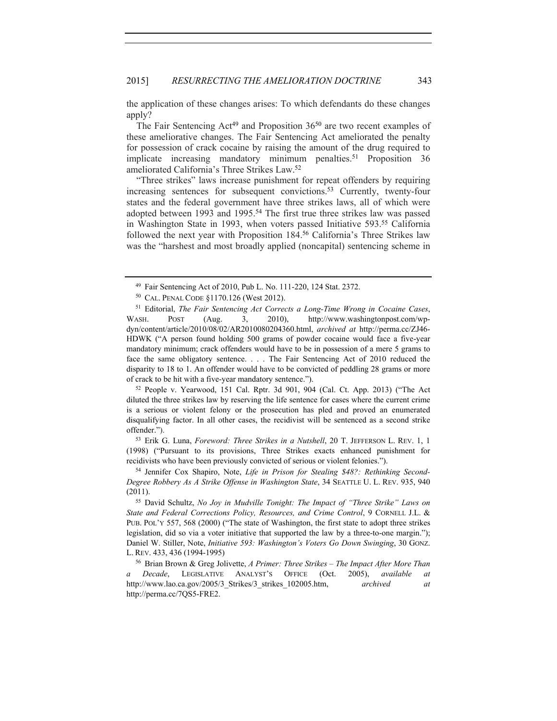the application of these changes arises: To which defendants do these changes apply?

The Fair Sentencing Act<sup>49</sup> and Proposition 36<sup>50</sup> are two recent examples of these ameliorative changes. The Fair Sentencing Act ameliorated the penalty for possession of crack cocaine by raising the amount of the drug required to implicate increasing mandatory minimum penalties.<sup>51</sup> Proposition 36 ameliorated California's Three Strikes Law.52

"Three strikes" laws increase punishment for repeat offenders by requiring increasing sentences for subsequent convictions.53 Currently, twenty-four states and the federal government have three strikes laws, all of which were adopted between 1993 and 1995.54 The first true three strikes law was passed in Washington State in 1993, when voters passed Initiative 593.55 California followed the next year with Proposition 184.56 California's Three Strikes law was the "harshest and most broadly applied (noncapital) sentencing scheme in

<sup>51</sup> Editorial, *The Fair Sentencing Act Corrects a Long-Time Wrong in Cocaine Cases*, WASH. POST (Aug. 3, 2010), http://www.washingtonpost.com/wpdyn/content/article/2010/08/02/AR2010080204360.html, *archived at* http://perma.cc/ZJ46- HDWK ("A person found holding 500 grams of powder cocaine would face a five-year mandatory minimum; crack offenders would have to be in possession of a mere 5 grams to face the same obligatory sentence. . . . The Fair Sentencing Act of 2010 reduced the disparity to 18 to 1. An offender would have to be convicted of peddling 28 grams or more of crack to be hit with a five-year mandatory sentence.").<br><sup>52</sup> People v. Yearwood, 151 Cal. Rptr. 3d 901, 904 (Cal. Ct. App. 2013) ("The Act

diluted the three strikes law by reserving the life sentence for cases where the current crime is a serious or violent felony or the prosecution has pled and proved an enumerated disqualifying factor. In all other cases, the recidivist will be sentenced as a second strike offender.").

<sup>53</sup> Erik G. Luna, *Foreword: Three Strikes in a Nutshell*, 20 T. JEFFERSON L. REV. 1, 1 (1998) ("Pursuant to its provisions, Three Strikes exacts enhanced punishment for recidivists who have been previously convicted of serious or violent felonies."). 54 Jennifer Cox Shapiro, Note, *Life in Prison for Stealing \$48?: Rethinking Second-*

*Degree Robbery As A Strike Offense in Washington State*, 34 SEATTLE U. L. REV. 935, 940 (2011).

<sup>55</sup> David Schultz, *No Joy in Mudville Tonight: The Impact of "Three Strike" Laws on State and Federal Corrections Policy, Resources, and Crime Control*, 9 CORNELL J.L. & PUB. POL'Y 557, 568 (2000) ("The state of Washington, the first state to adopt three strikes legislation, did so via a voter initiative that supported the law by a three-to-one margin."); Daniel W. Stiller, Note, *Initiative 593: Washington's Voters Go Down Swinging*, 30 GONZ. L. REV. 433, 436 (1994-1995)

<sup>56</sup> Brian Brown & Greg Jolivette, *A Primer: Three Strikes – The Impact After More Than a Decade*, LEGISLATIVE ANALYST'S OFFICE (Oct. 2005), *available at* http://www.lao.ca.gov/2005/3\_Strikes/3\_strikes\_102005.htm, *archived at* http://perma.cc/7QS5-FRE2.

<sup>49</sup> Fair Sentencing Act of 2010, Pub L. No. 111-220, 124 Stat. 2372.

<sup>50</sup> CAL. PENAL CODE §1170.126 (West 2012).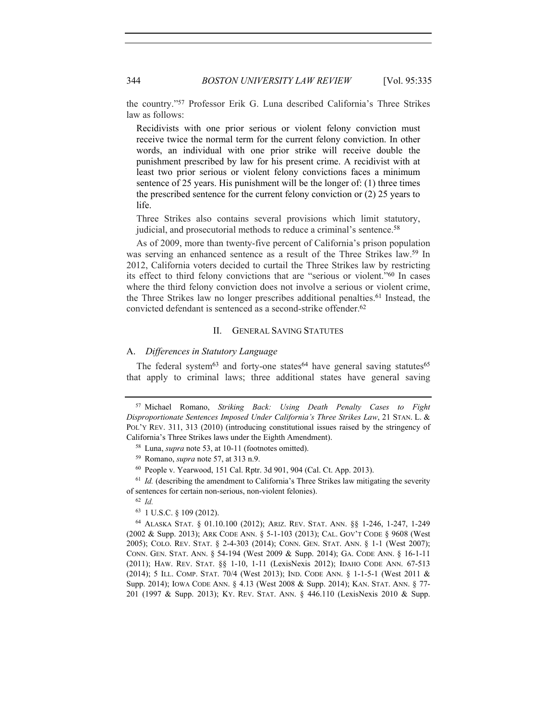the country."57 Professor Erik G. Luna described California's Three Strikes law as follows:

Recidivists with one prior serious or violent felony conviction must receive twice the normal term for the current felony conviction. In other words, an individual with one prior strike will receive double the punishment prescribed by law for his present crime. A recidivist with at least two prior serious or violent felony convictions faces a minimum sentence of 25 years. His punishment will be the longer of: (1) three times the prescribed sentence for the current felony conviction or (2) 25 years to life.

Three Strikes also contains several provisions which limit statutory, judicial, and prosecutorial methods to reduce a criminal's sentence.<sup>58</sup>

As of 2009, more than twenty-five percent of California's prison population was serving an enhanced sentence as a result of the Three Strikes law.59 In 2012, California voters decided to curtail the Three Strikes law by restricting its effect to third felony convictions that are "serious or violent."<sup>60</sup> In cases where the third felony conviction does not involve a serious or violent crime, the Three Strikes law no longer prescribes additional penalties.61 Instead, the convicted defendant is sentenced as a second-strike offender.62

# II. GENERAL SAVING STATUTES

# A. *Differences in Statutory Language*

The federal system $63$  and forty-one states $64$  have general saving statutes $65$ that apply to criminal laws; three additional states have general saving

<sup>63</sup> 1 U.S.C. § 109 (2012).

<sup>57</sup> Michael Romano, *Striking Back: Using Death Penalty Cases to Fight Disproportionate Sentences Imposed Under California's Three Strikes Law*, 21 STAN. L. & POL'Y REV. 311, 313 (2010) (introducing constitutional issues raised by the stringency of California's Three Strikes laws under the Eighth Amendment).

<sup>58</sup> Luna, *supra* note 53, at 10-11 (footnotes omitted).

<sup>59</sup> Romano, *supra* note 57, at 313 n.9.

<sup>60</sup> People v. Yearwood, 151 Cal. Rptr. 3d 901, 904 (Cal. Ct. App. 2013). 61 *Id.* (describing the amendment to California's Three Strikes law mitigating the severity

of sentences for certain non-serious, non-violent felonies).

<sup>62</sup> *Id.*

<sup>64</sup> ALASKA STAT. § 01.10.100 (2012); ARIZ. REV. STAT. ANN. §§ 1-246, 1-247, 1-249 (2002 & Supp. 2013); ARK CODE ANN. § 5-1-103 (2013); CAL. GOV'T CODE § 9608 (West 2005); COLO. REV. STAT. § 2-4-303 (2014); CONN. GEN. STAT. ANN. § 1-1 (West 2007); CONN. GEN. STAT. ANN. § 54-194 (West 2009 & Supp. 2014); GA. CODE ANN. § 16-1-11 (2011); HAW. REV. STAT. §§ 1-10, 1-11 (LexisNexis 2012); IDAHO CODE ANN. 67-513 (2014); 5 ILL. COMP. STAT. 70/4 (West 2013); IND. CODE ANN. § 1-1-5-1 (West 2011 & Supp. 2014); IOWA CODE ANN. § 4.13 (West 2008 & Supp. 2014); KAN. STAT. ANN. § 77- 201 (1997 & Supp. 2013); KY. REV. STAT. ANN. § 446.110 (LexisNexis 2010 & Supp.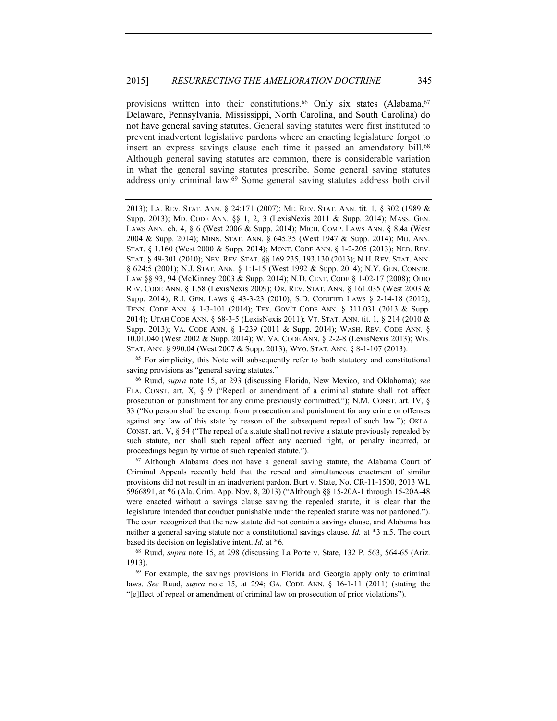provisions written into their constitutions.<sup>66</sup> Only six states (Alabama, <sup>67</sup>) Delaware, Pennsylvania, Mississippi, North Carolina, and South Carolina) do not have general saving statutes. General saving statutes were first instituted to prevent inadvertent legislative pardons where an enacting legislature forgot to insert an express savings clause each time it passed an amendatory bill.<sup>68</sup> Although general saving statutes are common, there is considerable variation in what the general saving statutes prescribe. Some general saving statutes address only criminal law.69 Some general saving statutes address both civil

2013); LA. REV. STAT. ANN. § 24:171 (2007); ME. REV. STAT. ANN. tit. 1, § 302 (1989 & Supp. 2013); MD. CODE ANN. §§ 1, 2, 3 (LexisNexis 2011 & Supp. 2014); MASS. GEN. LAWS ANN. ch. 4, § 6 (West 2006 & Supp. 2014); MICH. COMP. LAWS ANN. § 8.4a (West 2004 & Supp. 2014); MINN. STAT. ANN. § 645.35 (West 1947 & Supp. 2014); MO. ANN. STAT. § 1.160 (West 2000 & Supp. 2014); MONT. CODE ANN. § 1-2-205 (2013); NEB. REV. STAT. § 49-301 (2010); NEV. REV. STAT. §§ 169.235, 193.130 (2013); N.H. REV. STAT. ANN. § 624:5 (2001); N.J. STAT. ANN. § 1:1-15 (West 1992 & Supp. 2014); N.Y. GEN. CONSTR. LAW §§ 93, 94 (McKinney 2003 & Supp. 2014); N.D. CENT. CODE § 1-02-17 (2008); OHIO REV. CODE ANN. § 1.58 (LexisNexis 2009); OR. REV. STAT. ANN. § 161.035 (West 2003 & Supp. 2014); R.I. GEN. LAWS § 43-3-23 (2010); S.D. CODIFIED LAWS § 2-14-18 (2012); TENN. CODE ANN. § 1-3-101 (2014); TEX. GOV'T CODE ANN. § 311.031 (2013 & Supp. 2014); UTAH CODE ANN. § 68-3-5 (LexisNexis 2011); VT. STAT. ANN. tit. 1, § 214 (2010 & Supp. 2013); VA. CODE ANN. § 1-239 (2011 & Supp. 2014); WASH. REV. CODE ANN. § 10.01.040 (West 2002 & Supp. 2014); W. VA. CODE ANN. § 2-2-8 (LexisNexis 2013); WIS. STAT. ANN. § 990.04 (West 2007 & Supp. 2013); WYO. STAT. ANN. § 8-1-107 (2013).

<sup>65</sup> For simplicity, this Note will subsequently refer to both statutory and constitutional saving provisions as "general saving statutes." 66 Ruud, *supra* note 15, at 293 (discussing Florida, New Mexico, and Oklahoma); *see* 

FLA. CONST. art. X, § 9 ("Repeal or amendment of a criminal statute shall not affect prosecution or punishment for any crime previously committed."); N.M. CONST. art. IV, § 33 ("No person shall be exempt from prosecution and punishment for any crime or offenses against any law of this state by reason of the subsequent repeal of such law."); OKLA. CONST. art. V, § 54 ("The repeal of a statute shall not revive a statute previously repealed by such statute, nor shall such repeal affect any accrued right, or penalty incurred, or proceedings begun by virtue of such repealed statute.").

 $67$  Although Alabama does not have a general saving statute, the Alabama Court of Criminal Appeals recently held that the repeal and simultaneous enactment of similar provisions did not result in an inadvertent pardon. Burt v. State, No. CR-11-1500, 2013 WL 5966891, at \*6 (Ala. Crim. App. Nov. 8, 2013) ("Although §§ 15-20A-1 through 15-20A-48 were enacted without a savings clause saving the repealed statute, it is clear that the legislature intended that conduct punishable under the repealed statute was not pardoned."). The court recognized that the new statute did not contain a savings clause, and Alabama has neither a general saving statute nor a constitutional savings clause. *Id.* at \*3 n.5. The court based its decision on legislative intent. *Id.* at \*6.<br><sup>68</sup> Ruud, *supra* note 15, at 298 (discussing La Porte v. State, 132 P. 563, 564-65 (Ariz.

1913).

<sup>69</sup> For example, the savings provisions in Florida and Georgia apply only to criminal laws. *See* Ruud, *supra* note 15, at 294; GA. CODE ANN. § 16-1-11 (2011) (stating the "[e]ffect of repeal or amendment of criminal law on prosecution of prior violations").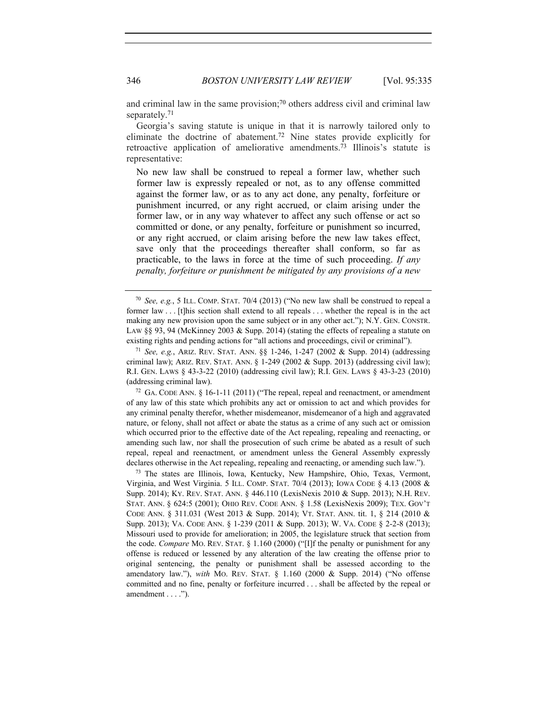and criminal law in the same provision;<sup>70</sup> others address civil and criminal law separately.<sup>71</sup>

Georgia's saving statute is unique in that it is narrowly tailored only to eliminate the doctrine of abatement.72 Nine states provide explicitly for retroactive application of ameliorative amendments.<sup>73</sup> Illinois's statute is representative:

No new law shall be construed to repeal a former law, whether such former law is expressly repealed or not, as to any offense committed against the former law, or as to any act done, any penalty, forfeiture or punishment incurred, or any right accrued, or claim arising under the former law, or in any way whatever to affect any such offense or act so committed or done, or any penalty, forfeiture or punishment so incurred, or any right accrued, or claim arising before the new law takes effect, save only that the proceedings thereafter shall conform, so far as practicable, to the laws in force at the time of such proceeding. *If any penalty, forfeiture or punishment be mitigated by any provisions of a new* 

criminal law); ARIZ. REV. STAT. ANN. § 1-249 (2002  $&$  Supp. 2013) (addressing civil law); R.I. GEN. LAWS § 43-3-22 (2010) (addressing civil law); R.I. GEN. LAWS § 43-3-23 (2010) (addressing criminal law).<br><sup>72</sup> GA. CODE ANN. § 16-1-11 (2011) ("The repeal, repeal and reenactment, or amendment

of any law of this state which prohibits any act or omission to act and which provides for any criminal penalty therefor, whether misdemeanor, misdemeanor of a high and aggravated nature, or felony, shall not affect or abate the status as a crime of any such act or omission which occurred prior to the effective date of the Act repealing, repealing and reenacting, or amending such law, nor shall the prosecution of such crime be abated as a result of such repeal, repeal and reenactment, or amendment unless the General Assembly expressly declares otherwise in the Act repealing, repealing and reenacting, or amending such law.").<br><sup>73</sup> The states are Illinois, Iowa, Kentucky, New Hampshire, Ohio, Texas, Vermont,

Virginia, and West Virginia. 5 ILL. COMP. STAT. 70/4 (2013); IOWA CODE § 4.13 (2008 & Supp. 2014); KY. REV. STAT. ANN. § 446.110 (LexisNexis 2010 & Supp. 2013); N.H. REV. STAT. ANN. § 624:5 (2001); OHIO REV. CODE ANN. § 1.58 (LexisNexis 2009); TEX. GOV'T CODE ANN. § 311.031 (West 2013 & Supp. 2014); VT. STAT. ANN. tit. 1, § 214 (2010 & Supp. 2013); VA. CODE ANN. § 1-239 (2011 & Supp. 2013); W. VA. CODE § 2-2-8 (2013); Missouri used to provide for amelioration; in 2005, the legislature struck that section from the code. *Compare* MO. REV. STAT. § 1.160 (2000) ("[I]f the penalty or punishment for any offense is reduced or lessened by any alteration of the law creating the offense prior to original sentencing, the penalty or punishment shall be assessed according to the amendatory law."), *with* MO. REV. STAT. § 1.160 (2000 & Supp. 2014) ("No offense committed and no fine, penalty or forfeiture incurred . . . shall be affected by the repeal or amendment . . . .").

<sup>70</sup> *See, e.g.*, 5 ILL. COMP. STAT. 70/4 (2013) ("No new law shall be construed to repeal a former law . . . [t]his section shall extend to all repeals . . . whether the repeal is in the act making any new provision upon the same subject or in any other act."); N.Y. GEN. CONSTR. LAW §§ 93, 94 (McKinney 2003 & Supp. 2014) (stating the effects of repealing a statute on existing rights and pending actions for "all actions and proceedings, civil or criminal"). 71 *See, e.g.*, ARIZ. REV. STAT. ANN. §§ 1-246, 1-247 (2002 & Supp. 2014) (addressing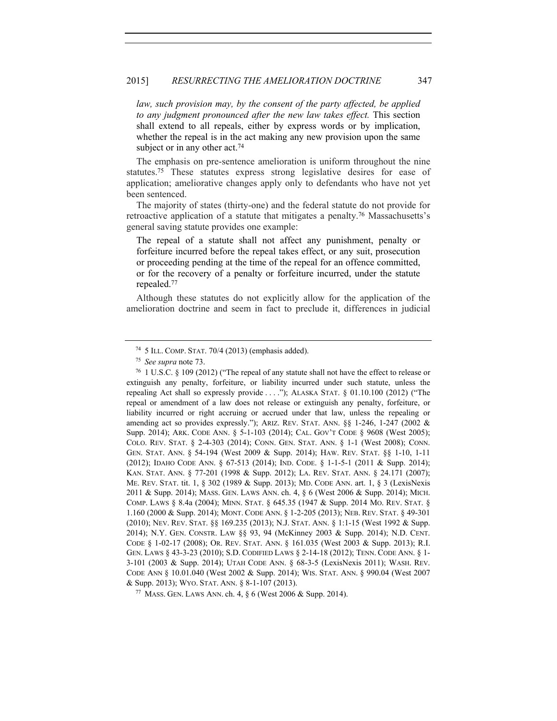law, such provision may, by the consent of the party affected, be applied *to any judgment pronounced after the new law takes effect.* This section shall extend to all repeals, either by express words or by implication, whether the repeal is in the act making any new provision upon the same subject or in any other act.<sup>74</sup>

The emphasis on pre-sentence amelioration is uniform throughout the nine statutes.75 These statutes express strong legislative desires for ease of application; ameliorative changes apply only to defendants who have not yet been sentenced.

The majority of states (thirty-one) and the federal statute do not provide for retroactive application of a statute that mitigates a penalty.76 Massachusetts's general saving statute provides one example:

The repeal of a statute shall not affect any punishment, penalty or forfeiture incurred before the repeal takes effect, or any suit, prosecution or proceeding pending at the time of the repeal for an offence committed, or for the recovery of a penalty or forfeiture incurred, under the statute repealed.77

Although these statutes do not explicitly allow for the application of the amelioration doctrine and seem in fact to preclude it, differences in judicial

<sup>77</sup> MASS. GEN. LAWS ANN. ch. 4, § 6 (West 2006 & Supp. 2014).

<sup>74</sup> 5 ILL. COMP. STAT. 70/4 (2013) (emphasis added).

<sup>&</sup>lt;sup>75</sup> *See supra* note 73.<br><sup>76</sup> 1 U.S.C. § 109 (2012) ("The repeal of any statute shall not have the effect to release or extinguish any penalty, forfeiture, or liability incurred under such statute, unless the repealing Act shall so expressly provide . . . ."); ALASKA STAT. § 01.10.100 (2012) ("The repeal or amendment of a law does not release or extinguish any penalty, forfeiture, or liability incurred or right accruing or accrued under that law, unless the repealing or amending act so provides expressly."); ARIZ. REV. STAT. ANN. §§ 1-246, 1-247 (2002 & Supp. 2014); ARK. CODE ANN. § 5-1-103 (2014); CAL. GOV'T CODE § 9608 (West 2005); COLO. REV. STAT. § 2-4-303 (2014); CONN. GEN. STAT. ANN. § 1-1 (West 2008); CONN. GEN. STAT. ANN. § 54-194 (West 2009 & Supp. 2014); HAW. REV. STAT. §§ 1-10, 1-11 (2012); IDAHO CODE ANN. § 67-513 (2014); IND. CODE. § 1-1-5-1 (2011 & Supp. 2014); KAN. STAT. ANN. § 77-201 (1998 & Supp. 2012); LA. REV. STAT. ANN. § 24.171 (2007); ME. REV. STAT. tit. 1, § 302 (1989 & Supp. 2013); MD. CODE ANN. art. 1, § 3 (LexisNexis 2011 & Supp. 2014); MASS. GEN. LAWS ANN. ch. 4, § 6 (West 2006 & Supp. 2014); MICH. COMP. LAWS § 8.4a (2004); MINN. STAT. § 645.35 (1947 & Supp. 2014 MO. REV. STAT. § 1.160 (2000 & Supp. 2014); MONT. CODE ANN. § 1-2-205 (2013); NEB. REV. STAT. § 49-301 (2010); NEV. REV. STAT. §§ 169.235 (2013); N.J. STAT. ANN. § 1:1-15 (West 1992 & Supp. 2014); N.Y. GEN. CONSTR. LAW §§ 93, 94 (McKinney 2003 & Supp. 2014); N.D. CENT. CODE § 1-02-17 (2008); OR. REV. STAT. ANN. § 161.035 (West 2003 & Supp. 2013); R.I. GEN. LAWS § 43-3-23 (2010); S.D. CODIFIED LAWS § 2-14-18 (2012); TENN. CODE ANN. § 1- 3-101 (2003 & Supp. 2014); UTAH CODE ANN. § 68-3-5 (LexisNexis 2011); WASH. REV. CODE ANN § 10.01.040 (West 2002 & Supp. 2014); WIS. STAT. ANN. § 990.04 (West 2007 & Supp. 2013); WYO. STAT. ANN. § 8-1-107 (2013).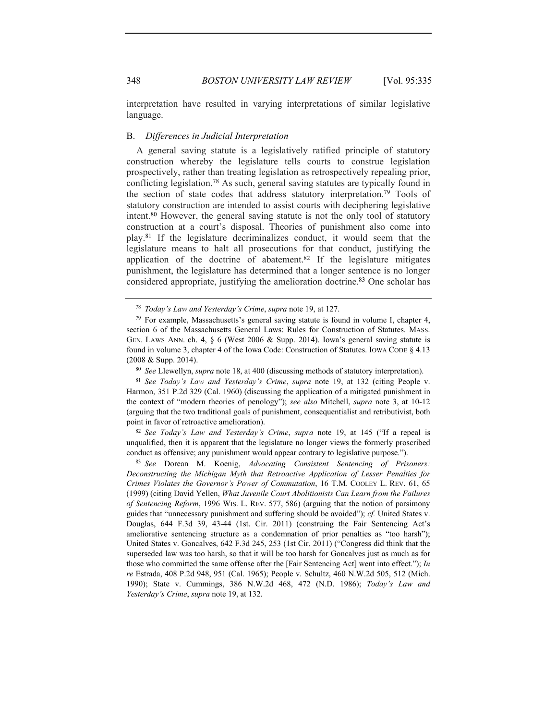348 *BOSTON UNIVERSITY LAW REVIEW* [Vol. 95:335

interpretation have resulted in varying interpretations of similar legislative language.

### B. *Differences in Judicial Interpretation*

A general saving statute is a legislatively ratified principle of statutory construction whereby the legislature tells courts to construe legislation prospectively, rather than treating legislation as retrospectively repealing prior, conflicting legislation.78 As such, general saving statutes are typically found in the section of state codes that address statutory interpretation.79 Tools of statutory construction are intended to assist courts with deciphering legislative intent.80 However, the general saving statute is not the only tool of statutory construction at a court's disposal. Theories of punishment also come into play.81 If the legislature decriminalizes conduct, it would seem that the legislature means to halt all prosecutions for that conduct, justifying the application of the doctrine of abatement.82 If the legislature mitigates punishment, the legislature has determined that a longer sentence is no longer considered appropriate, justifying the amelioration doctrine.83 One scholar has

<sup>81</sup> *See Today's Law and Yesterday's Crime*, *supra* note 19, at 132 (citing People v. Harmon, 351 P.2d 329 (Cal. 1960) (discussing the application of a mitigated punishment in the context of "modern theories of penology"); *see also* Mitchell, *supra* note 3, at 10-12 (arguing that the two traditional goals of punishment, consequentialist and retributivist, both point in favor of retroactive amelioration). 82 *See Today's Law and Yesterday's Crime*, *supra* note 19, at 145 ("If a repeal is

unqualified, then it is apparent that the legislature no longer views the formerly proscribed conduct as offensive; any punishment would appear contrary to legislative purpose."). 83 *See* Dorean M. Koenig, *Advocating Consistent Sentencing of Prisoners:* 

*Deconstructing the Michigan Myth that Retroactive Application of Lesser Penalties for Crimes Violates the Governor's Power of Commutation*, 16 T.M. COOLEY L. REV. 61, 65 (1999) (citing David Yellen, *What Juvenile Court Abolitionists Can Learn from the Failures of Sentencing Reform*, 1996 WIS. L. REV. 577, 586) (arguing that the notion of parsimony guides that "unnecessary punishment and suffering should be avoided"); *cf.* United States v. Douglas, 644 F.3d 39, 43-44 (1st. Cir. 2011) (construing the Fair Sentencing Act's ameliorative sentencing structure as a condemnation of prior penalties as "too harsh"); United States v. Goncalves, 642 F.3d 245, 253 (1st Cir. 2011) ("Congress did think that the superseded law was too harsh, so that it will be too harsh for Goncalves just as much as for those who committed the same offense after the [Fair Sentencing Act] went into effect."); *In re* Estrada, 408 P.2d 948, 951 (Cal. 1965); People v. Schultz, 460 N.W.2d 505, 512 (Mich. 1990); State v. Cummings, 386 N.W.2d 468, 472 (N.D. 1986); *Today's Law and Yesterday's Crime*, *supra* note 19, at 132.

<sup>78</sup> *Today's Law and Yesterday's Crime*, *supra* note 19, at 127.

 $79$  For example, Massachusetts's general saving statute is found in volume I, chapter 4, section 6 of the Massachusetts General Laws: Rules for Construction of Statutes. MASS. GEN. LAWS ANN. ch. 4, § 6 (West 2006 & Supp. 2014). Iowa's general saving statute is found in volume 3, chapter 4 of the Iowa Code: Construction of Statutes. IOWA CODE § 4.13 (2008 & Supp. 2014). 80 *See* Llewellyn, *supra* note 18, at 400 (discussing methods of statutory interpretation).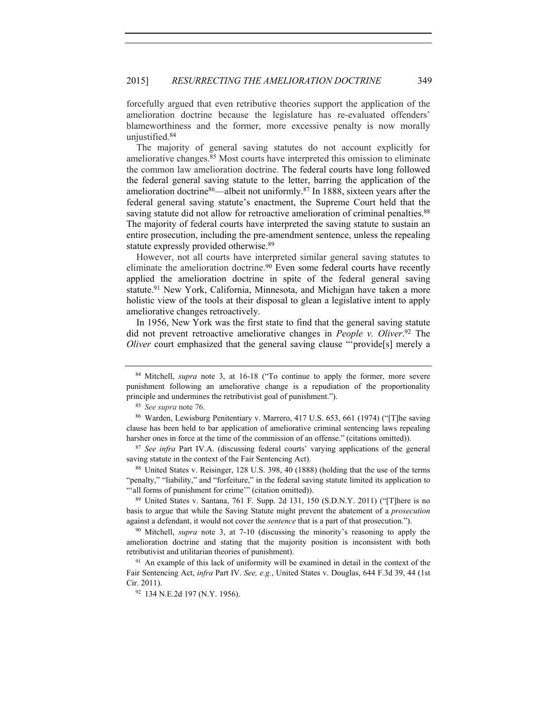forcefully argued that even retributive theories support the application of the amelioration doctrine because the legislature has re-evaluated offenders' blameworthiness and the former, more excessive penalty is now morally uniustified.<sup>84</sup>

The majority of general saving statutes do not account explicitly for ameliorative changes.<sup>85</sup> Most courts have interpreted this omission to eliminate the common law amelioration doctrine. The federal courts have long followed the federal general saving statute to the letter, barring the application of the amelioration doctrine86—albeit not uniformly.87 In 1888, sixteen years after the federal general saving statute's enactment, the Supreme Court held that the saving statute did not allow for retroactive amelioration of criminal penalties.<sup>88</sup> The majority of federal courts have interpreted the saving statute to sustain an entire prosecution, including the pre-amendment sentence, unless the repealing statute expressly provided otherwise.<sup>89</sup>

However, not all courts have interpreted similar general saving statutes to eliminate the amelioration doctrine.<sup>90</sup> Even some federal courts have recently applied the amelioration doctrine in spite of the federal general saving statute.<sup>91</sup> New York, California, Minnesota, and Michigan have taken a more holistic view of the tools at their disposal to glean a legislative intent to apply ameliorative changes retroactively.

In 1956, New York was the first state to find that the general saving statute did not prevent retroactive ameliorative changes in *People v. Oliver*. 92 The *Oliver* court emphasized that the general saving clause "'provide<sup>[s]</sup> merely a

<sup>88</sup> United States v. Reisinger, 128 U.S. 398, 40 (1888) (holding that the use of the terms "penalty," "liability," and "forfeiture," in the federal saving statute limited its application to "'all forms of punishment for crime'" (citation omitted)). 89 United States v. Santana, 761 F. Supp. 2d 131, 150 (S.D.N.Y. 2011) ("[T]here is no

basis to argue that while the Saving Statute might prevent the abatement of a *prosecution* against a defendant, it would not cover the *sentence* that is a part of that prosecution.").<br><sup>90</sup> Mitchell, *supra* note 3, at 7-10 (discussing the minority's reasoning to apply the

amelioration doctrine and stating that the majority position is inconsistent with both retributivist and utilitarian theories of punishment).

<sup>91</sup> An example of this lack of uniformity will be examined in detail in the context of the Fair Sentencing Act, *infra* Part IV. *See, e.g.*, United States v. Douglas, 644 F.3d 39, 44 (1st Cir. 2011).<br><sup>92</sup> 134 N.E.2d 197 (N.Y. 1956).

<sup>84</sup> Mitchell, *supra* note 3, at 16-18 ("To continue to apply the former, more severe punishment following an ameliorative change is a repudiation of the proportionality principle and undermines the retributivist goal of punishment.").

<sup>85</sup> *See supra* note 76.

<sup>86</sup> Warden, Lewisburg Penitentiary v. Marrero, 417 U.S. 653, 661 (1974) ("[T]he saving clause has been held to bar application of ameliorative criminal sentencing laws repealing harsher ones in force at the time of the commission of an offense." (citations omitted)). 87 *See infra* Part IV.A. (discussing federal courts' varying applications of the general

saving statute in the context of the Fair Sentencing Act).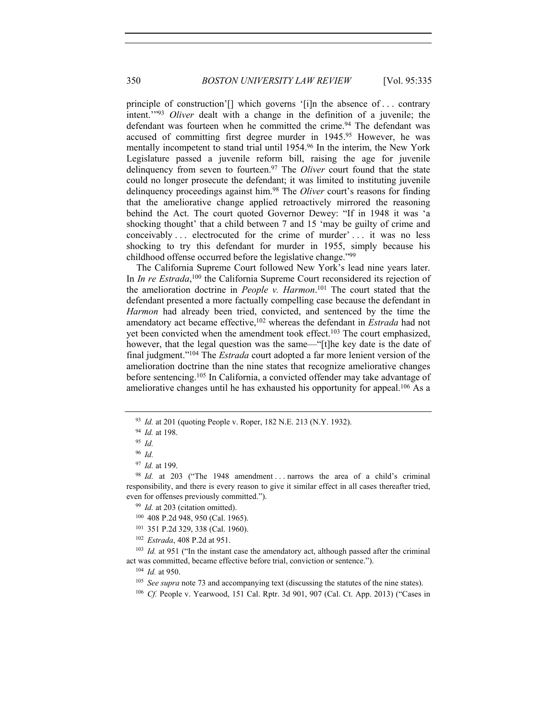principle of construction'[] which governs '[i]n the absence of . . . contrary intent.'"93 *Oliver* dealt with a change in the definition of a juvenile; the defendant was fourteen when he committed the crime.<sup>94</sup> The defendant was accused of committing first degree murder in 1945.95 However, he was mentally incompetent to stand trial until 1954.96 In the interim, the New York Legislature passed a juvenile reform bill, raising the age for juvenile delinquency from seven to fourteen.97 The *Oliver* court found that the state could no longer prosecute the defendant; it was limited to instituting juvenile delinquency proceedings against him.98 The *Oliver* court's reasons for finding that the ameliorative change applied retroactively mirrored the reasoning behind the Act. The court quoted Governor Dewey: "If in 1948 it was 'a shocking thought' that a child between 7 and 15 'may be guilty of crime and conceivably ... electrocuted for the crime of murder' ... it was no less shocking to try this defendant for murder in 1955, simply because his childhood offense occurred before the legislative change."99

The California Supreme Court followed New York's lead nine years later. In *In re Estrada*,<sup>100</sup> the California Supreme Court reconsidered its rejection of the amelioration doctrine in *People v. Harmon*. 101 The court stated that the defendant presented a more factually compelling case because the defendant in *Harmon* had already been tried, convicted, and sentenced by the time the amendatory act became effective,102 whereas the defendant in *Estrada* had not yet been convicted when the amendment took effect.<sup>103</sup> The court emphasized, however, that the legal question was the same—"[t]he key date is the date of final judgment."104 The *Estrada* court adopted a far more lenient version of the amelioration doctrine than the nine states that recognize ameliorative changes before sentencing.105 In California, a convicted offender may take advantage of ameliorative changes until he has exhausted his opportunity for appeal.106 As a

<sup>100</sup> 408 P.2d 948, 950 (Cal. 1965).

<sup>102</sup> *Estrada*, 408 P.2d at 951.

<sup>103</sup> *Id.* at 951 ("In the instant case the amendatory act, although passed after the criminal act was committed, became effective before trial, conviction or sentence."). 104 *Id.* at 950.

<sup>105</sup> *See supra* note 73 and accompanying text (discussing the statutes of the nine states).

<sup>93</sup> *Id.* at 201 (quoting People v. Roper, 182 N.E. 213 (N.Y. 1932).

<sup>94</sup> *Id.* at 198.

<sup>95</sup> *Id.* 

<sup>96</sup> *Id.* 

<sup>97</sup> *Id.* at 199.

<sup>&</sup>lt;sup>98</sup> *Id.* at 203 ("The 1948 amendment ... narrows the area of a child's criminal responsibility, and there is every reason to give it similar effect in all cases thereafter tried, even for offenses previously committed."). 99 *Id.* at 203 (citation omitted).

<sup>101</sup> 351 P.2d 329, 338 (Cal. 1960).

<sup>&</sup>lt;sup>106</sup> *Cf.* People v. Yearwood, 151 Cal. Rptr. 3d 901, 907 (Cal. Ct. App. 2013) ("Cases in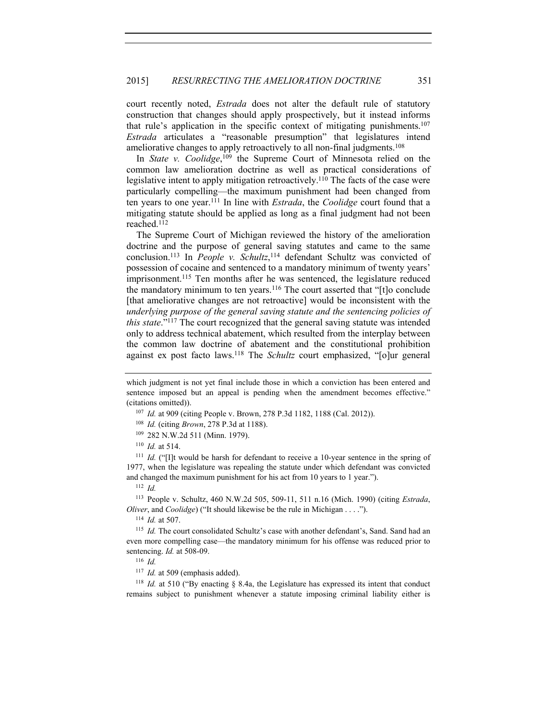court recently noted, *Estrada* does not alter the default rule of statutory construction that changes should apply prospectively, but it instead informs that rule's application in the specific context of mitigating punishments.107 *Estrada* articulates a "reasonable presumption" that legislatures intend ameliorative changes to apply retroactively to all non-final judgments.<sup>108</sup>

In *State v. Coolidge*, 109 the Supreme Court of Minnesota relied on the common law amelioration doctrine as well as practical considerations of legislative intent to apply mitigation retroactively.<sup>110</sup> The facts of the case were particularly compelling—the maximum punishment had been changed from ten years to one year.111 In line with *Estrada*, the *Coolidge* court found that a mitigating statute should be applied as long as a final judgment had not been reached.112

The Supreme Court of Michigan reviewed the history of the amelioration doctrine and the purpose of general saving statutes and came to the same conclusion.113 In *People v. Schultz*, 114 defendant Schultz was convicted of possession of cocaine and sentenced to a mandatory minimum of twenty years' imprisonment.115 Ten months after he was sentenced, the legislature reduced the mandatory minimum to ten years.116 The court asserted that "[t]o conclude [that ameliorative changes are not retroactive] would be inconsistent with the *underlying purpose of the general saving statute and the sentencing policies of this state*."117 The court recognized that the general saving statute was intended only to address technical abatement, which resulted from the interplay between the common law doctrine of abatement and the constitutional prohibition against ex post facto laws.118 The *Schultz* court emphasized, "[o]ur general

- (citations omitted)). 107 *Id.* at 909 (citing People v. Brown, 278 P.3d 1182, 1188 (Cal. 2012)).
	- <sup>108</sup> *Id.* (citing *Brown*, 278 P.3d at 1188).
	- <sup>109</sup> 282 N.W.2d 511 (Minn. 1979). 110 *Id.* at 514.
	-

<sup>111</sup> *Id.* ("Ilt would be harsh for defendant to receive a 10-year sentence in the spring of 1977, when the legislature was repealing the statute under which defendant was convicted and changed the maximum punishment for his act from 10 years to 1 year."). 112 *Id.*

<sup>113</sup> People v. Schultz, 460 N.W.2d 505, 509-11, 511 n.16 (Mich. 1990) (citing *Estrada*, *Oliver*, and *Coolidge*) ("It should likewise be the rule in Michigan . . . ."). 114 *Id.* at 507.

<sup>115</sup> *Id.* The court consolidated Schultz's case with another defendant's, Sand. Sand had an even more compelling case—the mandatory minimum for his offense was reduced prior to sentencing. *Id.* at 508-09.<br><sup>116</sup> *Id.* 

<sup>117</sup> *Id.* at 509 (emphasis added).

<sup>118</sup> *Id.* at 510 ("By enacting § 8.4a, the Legislature has expressed its intent that conduct remains subject to punishment whenever a statute imposing criminal liability either is

which judgment is not yet final include those in which a conviction has been entered and sentence imposed but an appeal is pending when the amendment becomes effective."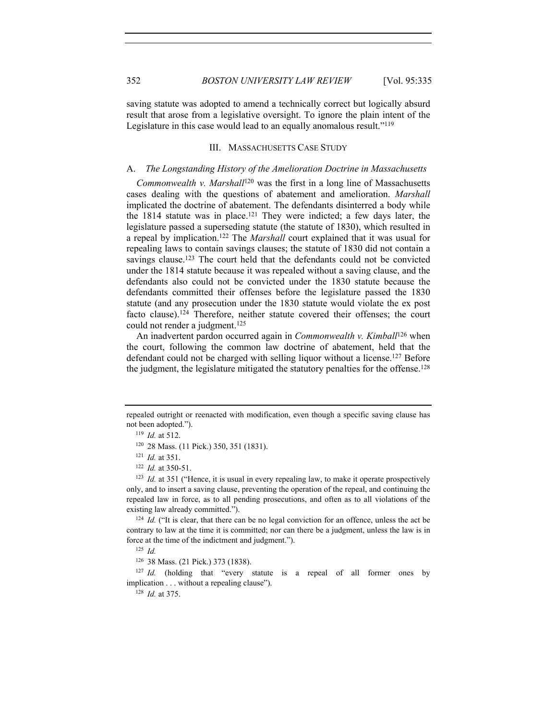saving statute was adopted to amend a technically correct but logically absurd result that arose from a legislative oversight. To ignore the plain intent of the Legislature in this case would lead to an equally anomalous result."119

# III. MASSACHUSETTS CASE STUDY

### A. *The Longstanding History of the Amelioration Doctrine in Massachusetts*

*Commonwealth v. Marshall*120 was the first in a long line of Massachusetts cases dealing with the questions of abatement and amelioration. *Marshall*  implicated the doctrine of abatement. The defendants disinterred a body while the  $1814$  statute was in place.<sup>121</sup> They were indicted; a few days later, the legislature passed a superseding statute (the statute of 1830), which resulted in a repeal by implication.122 The *Marshall* court explained that it was usual for repealing laws to contain savings clauses; the statute of 1830 did not contain a savings clause.<sup>123</sup> The court held that the defendants could not be convicted under the 1814 statute because it was repealed without a saving clause, and the defendants also could not be convicted under the 1830 statute because the defendants committed their offenses before the legislature passed the 1830 statute (and any prosecution under the 1830 statute would violate the ex post facto clause).124 Therefore, neither statute covered their offenses; the court could not render a judgment.<sup>125</sup>

An inadvertent pardon occurred again in *Commonwealth v. Kimball*126 when the court, following the common law doctrine of abatement, held that the defendant could not be charged with selling liquor without a license.127 Before the judgment, the legislature mitigated the statutory penalties for the offense.128

<sup>119</sup> *Id.* at 512.<br><sup>120</sup> 28 Mass. (11 Pick.) 350, 351 (1831).

<sup>121</sup> *Id.* at 351.

<sup>123</sup> *Id.* at 351 ("Hence, it is usual in every repealing law, to make it operate prospectively only, and to insert a saving clause, preventing the operation of the repeal, and continuing the repealed law in force, as to all pending prosecutions, and often as to all violations of the existing law already committed.").<br><sup>124</sup> *Id.* ("It is clear, that there can be no legal conviction for an offence, unless the act be

contrary to law at the time it is committed; nor can there be a judgment, unless the law is in force at the time of the indictment and judgment."). 125 *Id.* 

<sup>126</sup> 38 Mass. (21 Pick.) 373 (1838).

<sup>127</sup> *Id.* (holding that "every statute is a repeal of all former ones by implication . . . without a repealing clause"). 128 *Id.* at 375.

repealed outright or reenacted with modification, even though a specific saving clause has not been adopted.").

<sup>122</sup> *Id.* at 350-51.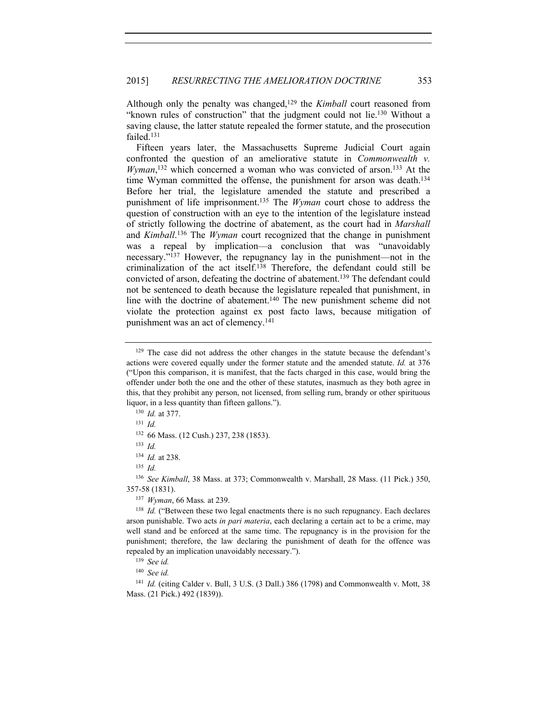Although only the penalty was changed,129 the *Kimball* court reasoned from "known rules of construction" that the judgment could not lie.130 Without a saving clause, the latter statute repealed the former statute, and the prosecution failed.131

Fifteen years later, the Massachusetts Supreme Judicial Court again confronted the question of an ameliorative statute in *Commonwealth v.*  Wyman,<sup>132</sup> which concerned a woman who was convicted of arson.<sup>133</sup> At the time Wyman committed the offense, the punishment for arson was death.<sup>134</sup> Before her trial, the legislature amended the statute and prescribed a punishment of life imprisonment.135 The *Wyman* court chose to address the question of construction with an eye to the intention of the legislature instead of strictly following the doctrine of abatement, as the court had in *Marshall*  and *Kimball*. 136 The *Wyman* court recognized that the change in punishment was a repeal by implication—a conclusion that was "unavoidably necessary."137 However, the repugnancy lay in the punishment—not in the criminalization of the act itself.138 Therefore, the defendant could still be convicted of arson, defeating the doctrine of abatement.139 The defendant could not be sentenced to death because the legislature repealed that punishment, in line with the doctrine of abatement.140 The new punishment scheme did not violate the protection against ex post facto laws, because mitigation of punishment was an act of clemency.141

<sup>137</sup> *Wyman*, 66 Mass*.* at 239.

<sup>140</sup> *See id.*

<sup>141</sup> *Id.* (citing Calder v. Bull, 3 U.S. (3 Dall.) 386 (1798) and Commonwealth v. Mott, 38 Mass. (21 Pick.) 492 (1839)).

<sup>129</sup> The case did not address the other changes in the statute because the defendant's actions were covered equally under the former statute and the amended statute. *Id.* at 376 ("Upon this comparison, it is manifest, that the facts charged in this case, would bring the offender under both the one and the other of these statutes, inasmuch as they both agree in this, that they prohibit any person, not licensed, from selling rum, brandy or other spirituous liquor, in a less quantity than fifteen gallons."). 130 *Id.* at 377.

<sup>131</sup> *Id.*

<sup>132</sup> 66 Mass. (12 Cush.) 237, 238 (1853). 133 *Id.*

<sup>134</sup> *Id.* at 238.

<sup>135</sup> *Id.*

<sup>136</sup> *See Kimball*, 38 Mass. at 373; Commonwealth v. Marshall, 28 Mass. (11 Pick.) 350, 357-58 (1831).

<sup>&</sup>lt;sup>138</sup> *Id.* ("Between these two legal enactments there is no such repugnancy. Each declares arson punishable. Two acts *in pari materia*, each declaring a certain act to be a crime, may well stand and be enforced at the same time. The repugnancy is in the provision for the punishment; therefore, the law declaring the punishment of death for the offence was repealed by an implication unavoidably necessary."). 139 *See id.*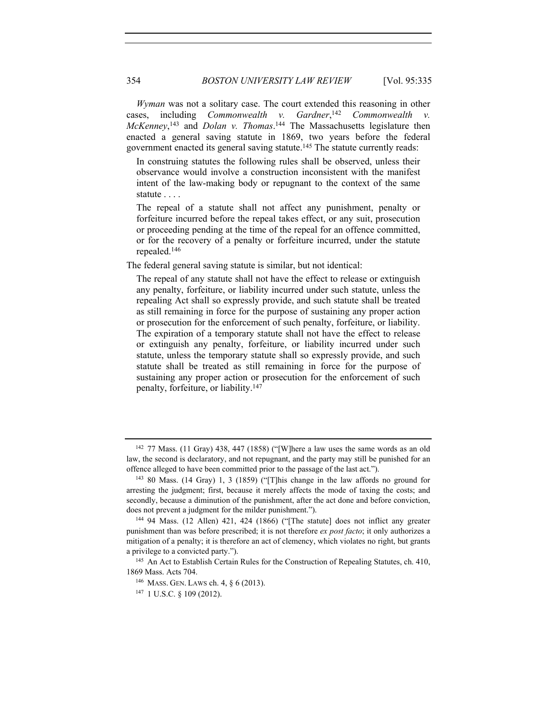*Wyman* was not a solitary case. The court extended this reasoning in other cases, including *Commonwealth v. Gardner*, <sup>142</sup> *Commonwealth v.*  McKenney,<sup>143</sup> and *Dolan v. Thomas*.<sup>144</sup> The Massachusetts legislature then enacted a general saving statute in 1869, two years before the federal government enacted its general saving statute.<sup>145</sup> The statute currently reads:

In construing statutes the following rules shall be observed, unless their observance would involve a construction inconsistent with the manifest intent of the law-making body or repugnant to the context of the same statute . . . .

The repeal of a statute shall not affect any punishment, penalty or forfeiture incurred before the repeal takes effect, or any suit, prosecution or proceeding pending at the time of the repeal for an offence committed, or for the recovery of a penalty or forfeiture incurred, under the statute repealed.146

The federal general saving statute is similar, but not identical:

The repeal of any statute shall not have the effect to release or extinguish any penalty, forfeiture, or liability incurred under such statute, unless the repealing Act shall so expressly provide, and such statute shall be treated as still remaining in force for the purpose of sustaining any proper action or prosecution for the enforcement of such penalty, forfeiture, or liability. The expiration of a temporary statute shall not have the effect to release or extinguish any penalty, forfeiture, or liability incurred under such statute, unless the temporary statute shall so expressly provide, and such statute shall be treated as still remaining in force for the purpose of sustaining any proper action or prosecution for the enforcement of such penalty, forfeiture, or liability.147

 $142$  77 Mass. (11 Gray) 438, 447 (1858) ("[W]here a law uses the same words as an old law, the second is declaratory, and not repugnant, and the party may still be punished for an offence alleged to have been committed prior to the passage of the last act.").<br><sup>143</sup> 80 Mass. (14 Gray) 1, 3 (1859) ("[T]his change in the law affords no ground for

arresting the judgment; first, because it merely affects the mode of taxing the costs; and secondly, because a diminution of the punishment, after the act done and before conviction, does not prevent a judgment for the milder punishment.").<br><sup>144</sup> 94 Mass. (12 Allen) 421, 424 (1866) ("[The statute] does not inflict any greater

punishment than was before prescribed; it is not therefore *ex post facto*; it only authorizes a mitigation of a penalty; it is therefore an act of clemency, which violates no right, but grants a privilege to a convicted party.").<br><sup>145</sup> An Act to Establish Certain Rules for the Construction of Repealing Statutes, ch. 410,

<sup>1869</sup> Mass. Acts 704.<br><sup>146</sup> Mass. Gen. Laws ch. 4, § 6 (2013).

<sup>147</sup> 1 U.S.C. § 109 (2012).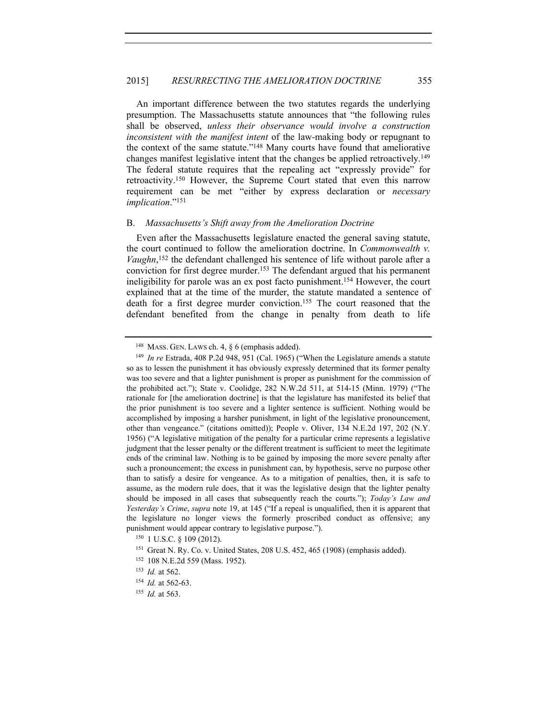An important difference between the two statutes regards the underlying presumption. The Massachusetts statute announces that "the following rules shall be observed, *unless their observance would involve a construction inconsistent with the manifest intent* of the law-making body or repugnant to the context of the same statute."148 Many courts have found that ameliorative changes manifest legislative intent that the changes be applied retroactively.149 The federal statute requires that the repealing act "expressly provide" for retroactivity.150 However, the Supreme Court stated that even this narrow requirement can be met "either by express declaration or *necessary implication*."151

#### B. *Massachusetts's Shift away from the Amelioration Doctrine*

Even after the Massachusetts legislature enacted the general saving statute, the court continued to follow the amelioration doctrine. In *Commonwealth v. Vaughn*, 152 the defendant challenged his sentence of life without parole after a conviction for first degree murder.153 The defendant argued that his permanent ineligibility for parole was an ex post facto punishment.154 However, the court explained that at the time of the murder, the statute mandated a sentence of death for a first degree murder conviction.155 The court reasoned that the defendant benefited from the change in penalty from death to life

<sup>148</sup> MASS. GEN. LAWS ch. 4, § 6 (emphasis added).

<sup>149</sup> *In re* Estrada, 408 P.2d 948, 951 (Cal. 1965) ("When the Legislature amends a statute so as to lessen the punishment it has obviously expressly determined that its former penalty was too severe and that a lighter punishment is proper as punishment for the commission of the prohibited act."); State v. Coolidge, 282 N.W.2d 511, at 514-15 (Minn. 1979) ("The rationale for [the amelioration doctrine] is that the legislature has manifested its belief that the prior punishment is too severe and a lighter sentence is sufficient. Nothing would be accomplished by imposing a harsher punishment, in light of the legislative pronouncement, other than vengeance." (citations omitted)); People v. Oliver, 134 N.E.2d 197, 202 (N.Y. 1956) ("A legislative mitigation of the penalty for a particular crime represents a legislative judgment that the lesser penalty or the different treatment is sufficient to meet the legitimate ends of the criminal law. Nothing is to be gained by imposing the more severe penalty after such a pronouncement; the excess in punishment can, by hypothesis, serve no purpose other than to satisfy a desire for vengeance. As to a mitigation of penalties, then, it is safe to assume, as the modern rule does, that it was the legislative design that the lighter penalty should be imposed in all cases that subsequently reach the courts."); *Today's Law and Yesterday's Crime*, *supra* note 19, at 145 ("If a repeal is unqualified, then it is apparent that the legislature no longer views the formerly proscribed conduct as offensive; any punishment would appear contrary to legislative purpose.").<br><sup>150</sup> 1 U.S.C. § 109 (2012).

<sup>151</sup> Great N. Ry. Co. v. United States, 208 U.S. 452, 465 (1908) (emphasis added).

<sup>152</sup> 108 N.E.2d 559 (Mass. 1952).

<sup>153</sup> *Id.* at 562.

<sup>154</sup> *Id.* at 562-63.

<sup>155</sup> *Id.* at 563.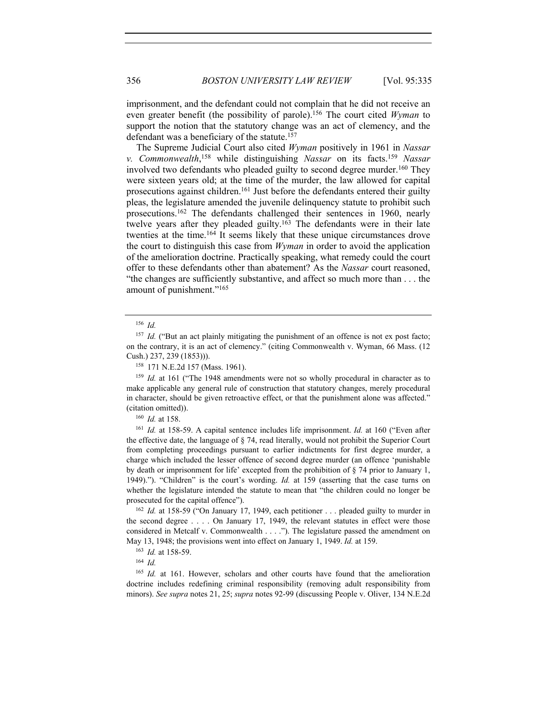imprisonment, and the defendant could not complain that he did not receive an even greater benefit (the possibility of parole).156 The court cited *Wyman* to support the notion that the statutory change was an act of clemency, and the defendant was a beneficiary of the statute.157

The Supreme Judicial Court also cited *Wyman* positively in 1961 in *Nassar v. Commonwealth*, 158 while distinguishing *Nassar* on its facts.159 *Nassar*  involved two defendants who pleaded guilty to second degree murder.<sup>160</sup> They were sixteen years old; at the time of the murder, the law allowed for capital prosecutions against children.161 Just before the defendants entered their guilty pleas, the legislature amended the juvenile delinquency statute to prohibit such prosecutions.162 The defendants challenged their sentences in 1960, nearly twelve years after they pleaded guilty.<sup>163</sup> The defendants were in their late twenties at the time.164 It seems likely that these unique circumstances drove the court to distinguish this case from *Wyman* in order to avoid the application of the amelioration doctrine. Practically speaking, what remedy could the court offer to these defendants other than abatement? As the *Nassar* court reasoned, "the changes are sufficiently substantive, and affect so much more than . . . the amount of punishment."165

<sup>159</sup> *Id.* at 161 ("The 1948 amendments were not so wholly procedural in character as to make applicable any general rule of construction that statutory changes, merely procedural in character, should be given retroactive effect, or that the punishment alone was affected."

(citation omitted)). 160 *Id.* at 158. 161 *Id.* at 158-59. A capital sentence includes life imprisonment. *Id.* at 160 ("Even after the effective date, the language of § 74, read literally, would not prohibit the Superior Court from completing proceedings pursuant to earlier indictments for first degree murder, a charge which included the lesser offence of second degree murder (an offence 'punishable by death or imprisonment for life' excepted from the prohibition of § 74 prior to January 1, 1949)."). "Children" is the court's wording. *Id.* at 159 (asserting that the case turns on whether the legislature intended the statute to mean that "the children could no longer be prosecuted for the capital offence").

<sup>162</sup> *Id.* at 158-59 ("On January 17, 1949, each petitioner . . . pleaded guilty to murder in the second degree . . . . On January 17, 1949, the relevant statutes in effect were those considered in Metcalf v. Commonwealth . . . ."). The legislature passed the amendment on May 13, 1948; the provisions went into effect on January 1, 1949. *Id.* at 159.

<sup>163</sup> *Id.* at 158-59.

<sup>164</sup> *Id.*

<sup>165</sup> *Id.* at 161. However, scholars and other courts have found that the amelioration doctrine includes redefining criminal responsibility (removing adult responsibility from minors). *See supra* notes 21, 25; *supra* notes 92-99 (discussing People v. Oliver, 134 N.E.2d

<sup>156</sup> *Id.* 

<sup>&</sup>lt;sup>157</sup> *Id.* ("But an act plainly mitigating the punishment of an offence is not ex post facto; on the contrary, it is an act of clemency." (citing Commonwealth v. Wyman, 66 Mass. (12 Cush.) 237, 239 (1853))).

<sup>158</sup> 171 N.E.2d 157 (Mass. 1961).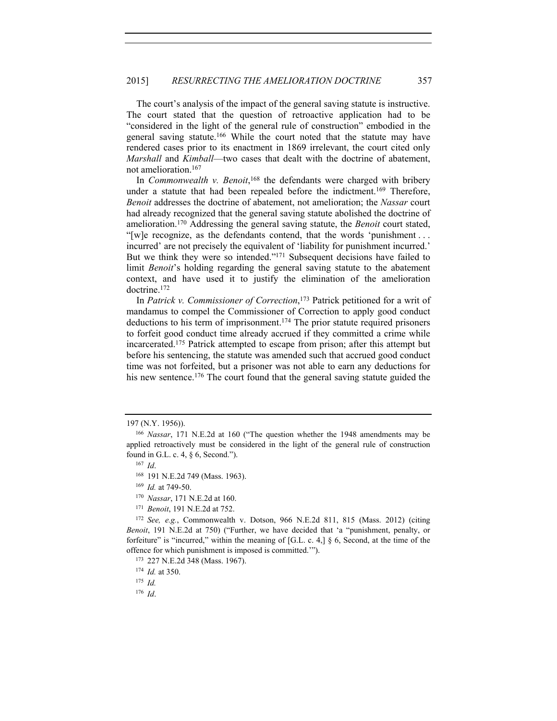The court's analysis of the impact of the general saving statute is instructive. The court stated that the question of retroactive application had to be "considered in the light of the general rule of construction" embodied in the general saving statute.166 While the court noted that the statute may have rendered cases prior to its enactment in 1869 irrelevant, the court cited only *Marshall* and *Kimball*—two cases that dealt with the doctrine of abatement, not amelioration.167

In *Commonwealth v. Benoit*,<sup>168</sup> the defendants were charged with bribery under a statute that had been repealed before the indictment.169 Therefore, *Benoit* addresses the doctrine of abatement, not amelioration; the *Nassar* court had already recognized that the general saving statute abolished the doctrine of amelioration.170 Addressing the general saving statute, the *Benoit* court stated, "[w]e recognize, as the defendants contend, that the words 'punishment . . . incurred' are not precisely the equivalent of 'liability for punishment incurred.' But we think they were so intended."<sup>171</sup> Subsequent decisions have failed to limit *Benoit*'s holding regarding the general saving statute to the abatement context, and have used it to justify the elimination of the amelioration doctrine.172

In *Patrick v. Commissioner of Correction*, 173 Patrick petitioned for a writ of mandamus to compel the Commissioner of Correction to apply good conduct deductions to his term of imprisonment.174 The prior statute required prisoners to forfeit good conduct time already accrued if they committed a crime while incarcerated.175 Patrick attempted to escape from prison; after this attempt but before his sentencing, the statute was amended such that accrued good conduct time was not forfeited, but a prisoner was not able to earn any deductions for his new sentence.<sup>176</sup> The court found that the general saving statute guided the

<sup>197 (</sup>N.Y. 1956)).

<sup>166</sup> *Nassar*, 171 N.E.2d at 160 ("The question whether the 1948 amendments may be applied retroactively must be considered in the light of the general rule of construction found in G.L. c. 4, § 6, Second."). 167 *Id*.

<sup>168</sup> 191 N.E.2d 749 (Mass. 1963).

<sup>169</sup> *Id.* at 749-50.

<sup>170</sup> *Nassar*, 171 N.E.2d at 160.

<sup>171</sup> *Benoit*, 191 N.E.2d at 752.

<sup>172</sup> *See, e.g.*, Commonwealth v. Dotson, 966 N.E.2d 811, 815 (Mass. 2012) (citing *Benoit*, 191 N.E.2d at 750) ("Further, we have decided that 'a "punishment, penalty, or forfeiture" is "incurred," within the meaning of [G.L. c. 4,]  $\S$  6, Second, at the time of the offence for which punishment is imposed is committed.'"). 173 227 N.E.2d 348 (Mass. 1967).

<sup>174</sup> *Id.* at 350.

 $175$  *Id.* 

<sup>176</sup> *Id*.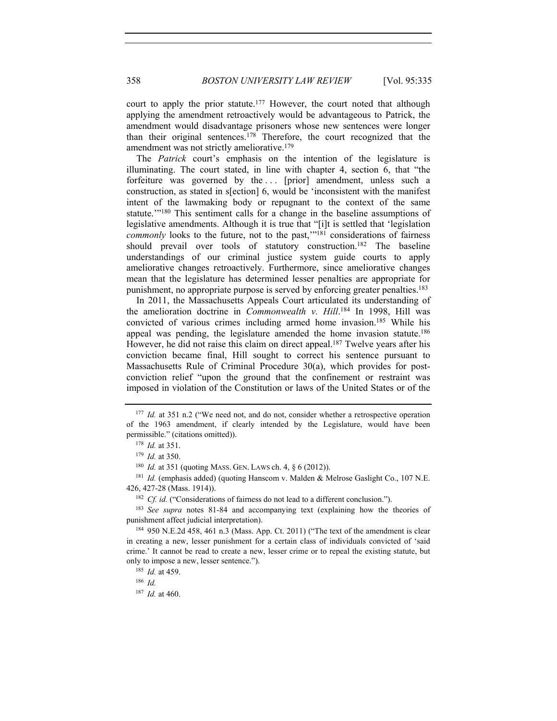court to apply the prior statute.<sup>177</sup> However, the court noted that although applying the amendment retroactively would be advantageous to Patrick, the amendment would disadvantage prisoners whose new sentences were longer than their original sentences.<sup>178</sup> Therefore, the court recognized that the amendment was not strictly ameliorative.179

The *Patrick* court's emphasis on the intention of the legislature is illuminating. The court stated, in line with chapter 4, section 6, that "the forfeiture was governed by the ... [prior] amendment, unless such a construction, as stated in s[ection] 6, would be 'inconsistent with the manifest intent of the lawmaking body or repugnant to the context of the same statute.'"180 This sentiment calls for a change in the baseline assumptions of legislative amendments. Although it is true that "[i]t is settled that 'legislation *commonly* looks to the future, not to the past,"<sup>181</sup> considerations of fairness should prevail over tools of statutory construction.<sup>182</sup> The baseline understandings of our criminal justice system guide courts to apply ameliorative changes retroactively. Furthermore, since ameliorative changes mean that the legislature has determined lesser penalties are appropriate for punishment, no appropriate purpose is served by enforcing greater penalties.<sup>183</sup>

In 2011, the Massachusetts Appeals Court articulated its understanding of the amelioration doctrine in *Commonwealth v. Hill*. 184 In 1998, Hill was convicted of various crimes including armed home invasion.185 While his appeal was pending, the legislature amended the home invasion statute.<sup>186</sup> However, he did not raise this claim on direct appeal.<sup>187</sup> Twelve years after his conviction became final, Hill sought to correct his sentence pursuant to Massachusetts Rule of Criminal Procedure 30(a), which provides for postconviction relief "upon the ground that the confinement or restraint was imposed in violation of the Constitution or laws of the United States or of the

<sup>182</sup> *Cf. id.* ("Considerations of fairness do not lead to a different conclusion.").

<sup>183</sup> *See supra* notes 81-84 and accompanying text (explaining how the theories of punishment affect judicial interpretation).<br><sup>184</sup> 950 N.E.2d 458, 461 n.3 (Mass. App. Ct. 2011) ("The text of the amendment is clear

in creating a new, lesser punishment for a certain class of individuals convicted of 'said crime.' It cannot be read to create a new, lesser crime or to repeal the existing statute, but only to impose a new, lesser sentence."). 185 *Id.* at 459.

<sup>186</sup> *Id.* 

<sup>187</sup> *Id.* at 460.

<sup>&</sup>lt;sup>177</sup> *Id.* at 351 n.2 ("We need not, and do not, consider whether a retrospective operation of the 1963 amendment, if clearly intended by the Legislature, would have been permissible." (citations omitted)).

<sup>178</sup> *Id.* at 351.

<sup>179</sup> *Id.* at 350.

<sup>&</sup>lt;sup>180</sup> *Id.* at 351 (quoting MASS. GEN. LAWS ch. 4, § 6 (2012)).<br><sup>181</sup> *Id.* (emphasis added) (quoting Hanscom v. Malden & Melrose Gaslight Co., 107 N.E. 426, 427-28 (Mass. 1914)).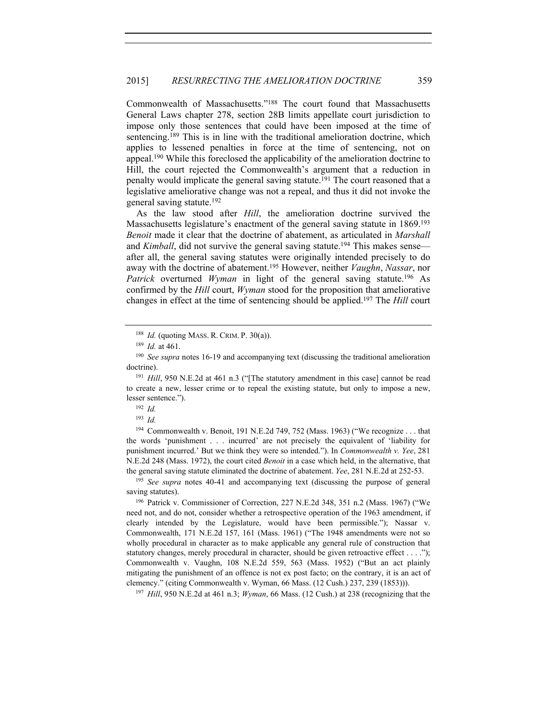Commonwealth of Massachusetts."188 The court found that Massachusetts General Laws chapter 278, section 28B limits appellate court jurisdiction to impose only those sentences that could have been imposed at the time of sentencing.189 This is in line with the traditional amelioration doctrine, which applies to lessened penalties in force at the time of sentencing, not on appeal.190 While this foreclosed the applicability of the amelioration doctrine to Hill, the court rejected the Commonwealth's argument that a reduction in penalty would implicate the general saving statute.<sup>191</sup> The court reasoned that a legislative ameliorative change was not a repeal, and thus it did not invoke the general saving statute.192

As the law stood after *Hill*, the amelioration doctrine survived the Massachusetts legislature's enactment of the general saving statute in 1869.<sup>193</sup> *Benoit* made it clear that the doctrine of abatement, as articulated in *Marshall*  and *Kimball*, did not survive the general saving statute.<sup>194</sup> This makes sense after all, the general saving statutes were originally intended precisely to do away with the doctrine of abatement.195 However, neither *Vaughn*, *Nassar*, nor *Patrick* overturned *Wyman* in light of the general saving statute.<sup>196</sup> As confirmed by the *Hill* court, *Wyman* stood for the proposition that ameliorative changes in effect at the time of sentencing should be applied.197 The *Hill* court

<sup>194</sup> Commonwealth v. Benoit, 191 N.E.2d 749, 752 (Mass. 1963) ("We recognize . . . that the words 'punishment . . . incurred' are not precisely the equivalent of 'liability for punishment incurred.' But we think they were so intended."). In *Commonwealth v. Yee*, 281 N.E.2d 248 (Mass. 1972), the court cited *Benoit* in a case which held, in the alternative, that the general saving statute eliminated the doctrine of abatement. *Yee*, 281 N.E.2d at 252-53. 195 *See supra* notes 40-41 and accompanying text (discussing the purpose of general

<sup>196</sup> Patrick v. Commissioner of Correction, 227 N.E.2d 348, 351 n.2 (Mass. 1967) ("We need not, and do not, consider whether a retrospective operation of the 1963 amendment, if clearly intended by the Legislature, would have been permissible."); Nassar v. Commonwealth, 171 N.E.2d 157, 161 (Mass. 1961) ("The 1948 amendments were not so wholly procedural in character as to make applicable any general rule of construction that statutory changes, merely procedural in character, should be given retroactive effect  $\dots$ . Commonwealth v. Vaughn, 108 N.E.2d 559, 563 (Mass. 1952) ("But an act plainly mitigating the punishment of an offence is not ex post facto; on the contrary, it is an act of clemency." (citing Commonwealth v. Wyman, 66 Mass. (12 Cush.) 237, 239 (1853))). 197 *Hill*, 950 N.E.2d at 461 n.3; *Wyman*, 66 Mass. (12 Cush.) at 238 (recognizing that the

<sup>188</sup> *Id.* (quoting MASS. R. CRIM. P. 30(a)). 189 *Id.* at 461.

<sup>190</sup> *See supra* notes 16-19 and accompanying text (discussing the traditional amelioration doctrine).

<sup>&</sup>lt;sup>191</sup> *Hill*, 950 N.E.2d at 461 n.3 ("The statutory amendment in this case] cannot be read to create a new, lesser crime or to repeal the existing statute, but only to impose a new, lesser sentence."). 192 *Id.*

<sup>193</sup> *Id.*

saving statutes).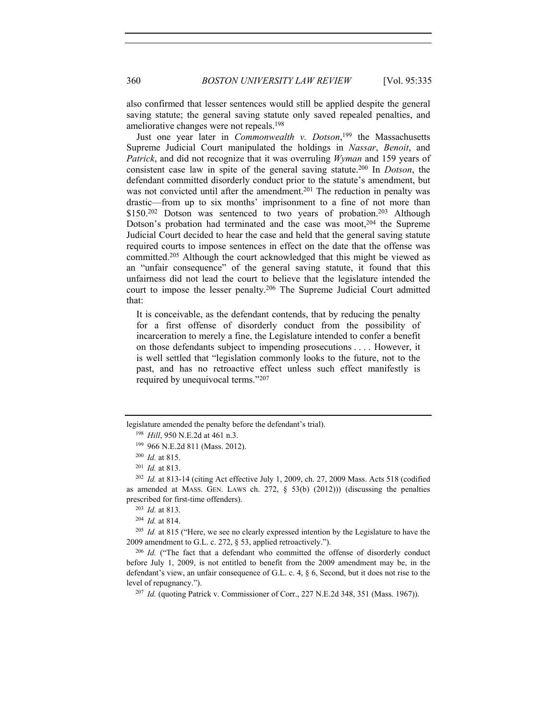also confirmed that lesser sentences would still be applied despite the general saving statute; the general saving statute only saved repealed penalties, and ameliorative changes were not repeals.198

Just one year later in *Commonwealth v. Dotson*, 199 the Massachusetts Supreme Judicial Court manipulated the holdings in *Nassar*, *Benoit*, and *Patrick*, and did not recognize that it was overruling *Wyman* and 159 years of consistent case law in spite of the general saving statute.200 In *Dotson*, the defendant committed disorderly conduct prior to the statute's amendment, but was not convicted until after the amendment.<sup>201</sup> The reduction in penalty was drastic—from up to six months' imprisonment to a fine of not more than \$150.<sup>202</sup> Dotson was sentenced to two years of probation.<sup>203</sup> Although Dotson's probation had terminated and the case was moot,<sup>204</sup> the Supreme Judicial Court decided to hear the case and held that the general saving statute required courts to impose sentences in effect on the date that the offense was committed.205 Although the court acknowledged that this might be viewed as an "unfair consequence" of the general saving statute, it found that this unfairness did not lead the court to believe that the legislature intended the court to impose the lesser penalty.206 The Supreme Judicial Court admitted that:

It is conceivable, as the defendant contends, that by reducing the penalty for a first offense of disorderly conduct from the possibility of incarceration to merely a fine, the Legislature intended to confer a benefit on those defendants subject to impending prosecutions . . . . However, it is well settled that "legislation commonly looks to the future, not to the past, and has no retroactive effect unless such effect manifestly is required by unequivocal terms."207

legislature amended the penalty before the defendant's trial).

<sup>198</sup> *Hill*, 950 N.E.2d at 461 n.3. 199 966 N.E.2d 811 (Mass. 2012).

<sup>200</sup> *Id.* at 815.

<sup>201</sup> *Id.* at 813.

<sup>202</sup> *Id.* at 813-14 (citing Act effective July 1, 2009, ch. 27, 2009 Mass. Acts 518 (codified as amended at MASS. GEN. LAWS ch. 272,  $\S$  53(b) (2012))) (discussing the penalties prescribed for first-time offenders).<br><sup>203</sup> *Id.* at 813.<br><sup>204</sup> *Id.* at 814.

<sup>&</sup>lt;sup>205</sup> *Id.* at 815 ("Here, we see no clearly expressed intention by the Legislature to have the 2009 amendment to G.L. c. 272, § 53, applied retroactively.").<br><sup>206</sup> *Id.* ("The fact that a defendant who committed the offense of disorderly conduct

before July 1, 2009, is not entitled to benefit from the 2009 amendment may be, in the defendant's view, an unfair consequence of G.L. c. 4, § 6, Second, but it does not rise to the level of repugnancy."). 207 *Id.* (quoting Patrick v. Commissioner of Corr., 227 N.E.2d 348, 351 (Mass. 1967)).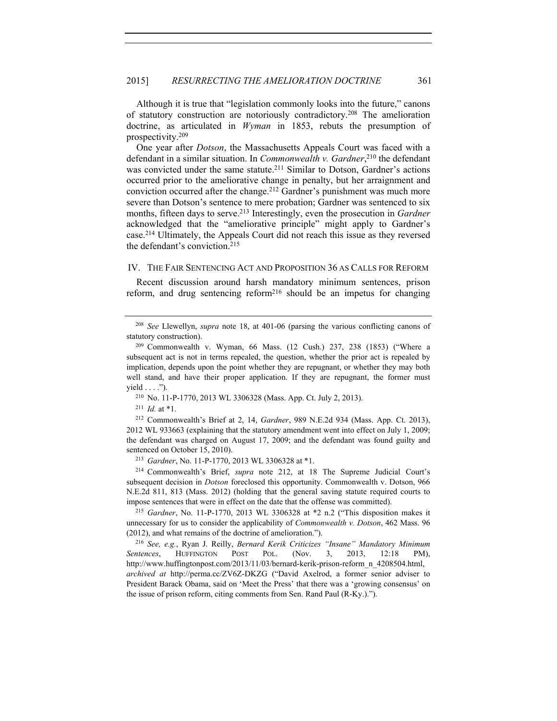Although it is true that "legislation commonly looks into the future," canons of statutory construction are notoriously contradictory.208 The amelioration doctrine, as articulated in *Wyman* in 1853, rebuts the presumption of prospectivity.209

One year after *Dotson*, the Massachusetts Appeals Court was faced with a defendant in a similar situation. In *Commonwealth v. Gardner*, 210 the defendant was convicted under the same statute.<sup>211</sup> Similar to Dotson, Gardner's actions occurred prior to the ameliorative change in penalty, but her arraignment and conviction occurred after the change.<sup>212</sup> Gardner's punishment was much more severe than Dotson's sentence to mere probation; Gardner was sentenced to six months, fifteen days to serve.<sup>213</sup> Interestingly, even the prosecution in *Gardner* acknowledged that the "ameliorative principle" might apply to Gardner's case.214 Ultimately, the Appeals Court did not reach this issue as they reversed the defendant's conviction.215

### IV. THE FAIR SENTENCING ACT AND PROPOSITION 36 AS CALLS FOR REFORM

Recent discussion around harsh mandatory minimum sentences, prison reform, and drug sentencing  $reform<sup>216</sup>$  should be an impetus for changing

<sup>211</sup> *Id.* at \*1. 212 Commonwealth's Brief at 2, 14, *Gardner*, 989 N.E.2d 934 (Mass. App. Ct. 2013), 2012 WL 933663 (explaining that the statutory amendment went into effect on July 1, 2009; the defendant was charged on August 17, 2009; and the defendant was found guilty and sentenced on October 15, 2010). 213 *Gardner*, No. 11-P-1770, 2013 WL 3306328 at \*1.

<sup>214</sup> Commonwealth's Brief, *supra* note 212, at 18 The Supreme Judicial Court's subsequent decision in *Dotson* foreclosed this opportunity. Commonwealth v. Dotson, 966 N.E.2d 811, 813 (Mass. 2012) (holding that the general saving statute required courts to impose sentences that were in effect on the date that the offense was committed). 215 *Gardner*, No. 11-P-1770, 2013 WL 3306328 at \*2 n.2 ("This disposition makes it

unnecessary for us to consider the applicability of *Commonwealth v. Dotson*, 462 Mass. 96 (2012), and what remains of the doctrine of amelioration.").

<sup>216</sup> *See, e.g.*, Ryan J. Reilly, *Bernard Kerik Criticizes "Insane" Mandatory Minimum Sentences*, HUFFINGTON POST POL. (Nov. 3, 2013, 12:18 PM), http://www.huffingtonpost.com/2013/11/03/bernard-kerik-prison-reform\_n\_4208504.html, *archived at* http://perma.cc/ZV6Z-DKZG ("David Axelrod, a former senior adviser to President Barack Obama, said on 'Meet the Press' that there was a 'growing consensus' on the issue of prison reform, citing comments from Sen. Rand Paul (R-Ky.).").

<sup>208</sup> *See* Llewellyn, *supra* note 18, at 401-06 (parsing the various conflicting canons of statutory construction).

<sup>209</sup> Commonwealth v. Wyman, 66 Mass. (12 Cush.) 237, 238 (1853) ("Where a subsequent act is not in terms repealed, the question, whether the prior act is repealed by implication, depends upon the point whether they are repugnant, or whether they may both well stand, and have their proper application. If they are repugnant, the former must yield . . . .").<br><sup>210</sup> No. 11-P-1770, 2013 WL 3306328 (Mass. App. Ct. July 2, 2013).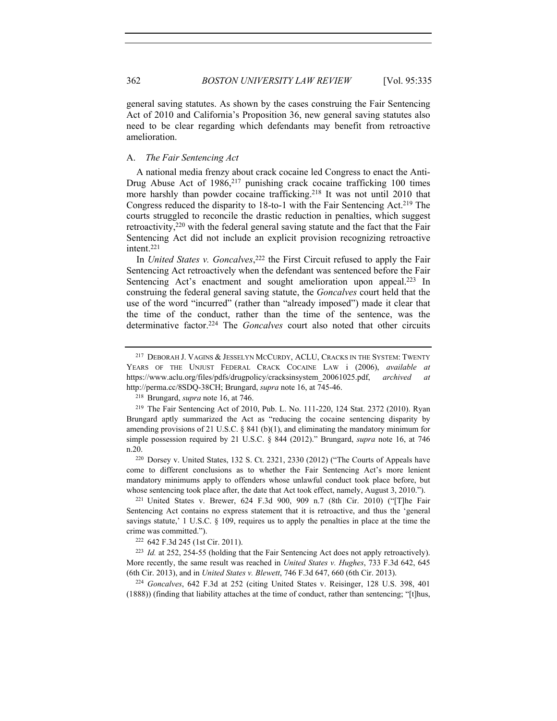general saving statutes. As shown by the cases construing the Fair Sentencing Act of 2010 and California's Proposition 36, new general saving statutes also need to be clear regarding which defendants may benefit from retroactive amelioration.

### A. *The Fair Sentencing Act*

A national media frenzy about crack cocaine led Congress to enact the Anti-Drug Abuse Act of 1986,<sup>217</sup> punishing crack cocaine trafficking 100 times more harshly than powder cocaine trafficking.<sup>218</sup> It was not until 2010 that Congress reduced the disparity to 18-to-1 with the Fair Sentencing Act.<sup>219</sup> The courts struggled to reconcile the drastic reduction in penalties, which suggest retroactivity,220 with the federal general saving statute and the fact that the Fair Sentencing Act did not include an explicit provision recognizing retroactive intent.221

In *United States v. Goncalves*, 222 the First Circuit refused to apply the Fair Sentencing Act retroactively when the defendant was sentenced before the Fair Sentencing Act's enactment and sought amelioration upon appeal.<sup>223</sup> In construing the federal general saving statute, the *Goncalves* court held that the use of the word "incurred" (rather than "already imposed") made it clear that the time of the conduct, rather than the time of the sentence, was the determinative factor.224 The *Goncalves* court also noted that other circuits

come to different conclusions as to whether the Fair Sentencing Act's more lenient mandatory minimums apply to offenders whose unlawful conduct took place before, but whose sentencing took place after, the date that Act took effect, namely, August 3, 2010."). <sup>221</sup> United States v. Brewer, 624 F.3d 900, 909 n.7 (8th Cir. 2010) ("[T]he Fair

Sentencing Act contains no express statement that it is retroactive, and thus the 'general savings statute,' 1 U.S.C.  $\S$  109, requires us to apply the penalties in place at the time the crime was committed."). 222 642 F.3d 245 (1st Cir. 2011).

<sup>223</sup> *Id.* at 252, 254-55 (holding that the Fair Sentencing Act does not apply retroactively). More recently, the same result was reached in *United States v. Hughes*, 733 F.3d 642, 645 (6th Cir. 2013), and in *United States v. Blewett*, 746 F.3d 647, 660 (6th Cir. 2013). 224 *Goncalves*, 642 F.3d at 252 (citing United States v. Reisinger, 128 U.S. 398, 401

(1888)) (finding that liability attaches at the time of conduct, rather than sentencing; "[t]hus,

<sup>217</sup> DEBORAH J. VAGINS & JESSELYN MCCURDY, ACLU, CRACKS IN THE SYSTEM: TWENTY YEARS OF THE UNJUST FEDERAL CRACK COCAINE LAW i (2006), *available at* https://www.aclu.org/files/pdfs/drugpolicy/cracksinsystem\_20061025.pdf, *archived at* http://perma.cc/8SDQ-38CH; Brungard, *supra* note 16, at 745-46. 218 Brungard, *supra* note 16, at 746.

<sup>219</sup> The Fair Sentencing Act of 2010, Pub. L. No. 111-220, 124 Stat. 2372 (2010). Ryan Brungard aptly summarized the Act as "reducing the cocaine sentencing disparity by amending provisions of 21 U.S.C.  $\S$  841 (b)(1), and eliminating the mandatory minimum for simple possession required by 21 U.S.C. § 844 (2012)." Brungard, *supra* note 16, at 746 n.20.<br><sup>220</sup> Dorsey v. United States, 132 S. Ct. 2321, 2330 (2012) ("The Courts of Appeals have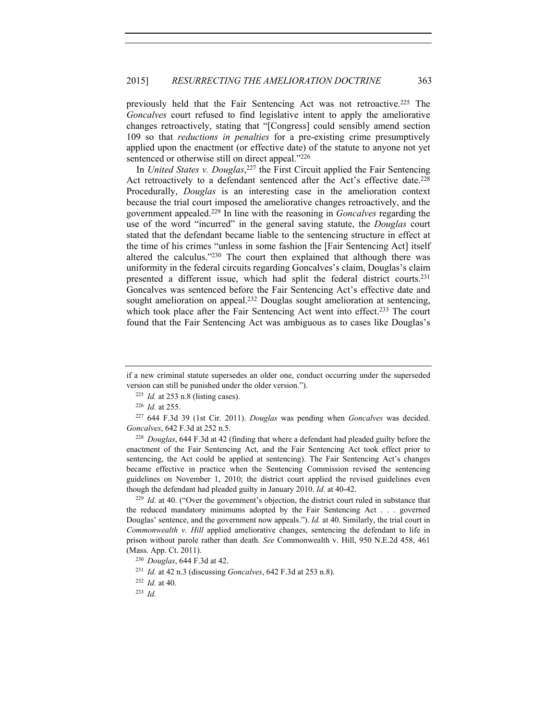previously held that the Fair Sentencing Act was not retroactive.225 The *Goncalves* court refused to find legislative intent to apply the ameliorative changes retroactively, stating that "[Congress] could sensibly amend section 109 so that *reductions in penalties* for a pre-existing crime presumptively applied upon the enactment (or effective date) of the statute to anyone not yet sentenced or otherwise still on direct appeal."226

In *United States v. Douglas*, 227 the First Circuit applied the Fair Sentencing Act retroactively to a defendant sentenced after the Act's effective date.<sup>228</sup> Procedurally, *Douglas* is an interesting case in the amelioration context because the trial court imposed the ameliorative changes retroactively, and the government appealed.229 In line with the reasoning in *Goncalves* regarding the use of the word "incurred" in the general saving statute, the *Douglas* court stated that the defendant became liable to the sentencing structure in effect at the time of his crimes "unless in some fashion the [Fair Sentencing Act] itself altered the calculus."230 The court then explained that although there was uniformity in the federal circuits regarding Goncalves's claim, Douglas's claim presented a different issue, which had split the federal district courts.231 Goncalves was sentenced before the Fair Sentencing Act's effective date and sought amelioration on appeal.<sup>232</sup> Douglas sought amelioration at sentencing, which took place after the Fair Sentencing Act went into effect.<sup>233</sup> The court found that the Fair Sentencing Act was ambiguous as to cases like Douglas's

<sup>228</sup> *Douglas*, 644 F.3d at 42 (finding that where a defendant had pleaded guilty before the enactment of the Fair Sentencing Act, and the Fair Sentencing Act took effect prior to sentencing, the Act could be applied at sentencing). The Fair Sentencing Act's changes became effective in practice when the Sentencing Commission revised the sentencing guidelines on November 1, 2010; the district court applied the revised guidelines even though the defendant had pleaded guilty in January 2010. *Id.* at 40-42.

<sup>229</sup> *Id.* at 40. ("Over the government's objection, the district court ruled in substance that the reduced mandatory minimums adopted by the Fair Sentencing Act . . . governed Douglas' sentence, and the government now appeals."). *Id.* at 40. Similarly, the trial court in *Commonwealth v. Hill* applied ameliorative changes, sentencing the defendant to life in prison without parole rather than death. *See* Commonwealth v. Hill, 950 N.E.2d 458, 461 (Mass. App. Ct. 2011). 230 *Douglas*, 644 F.3d at 42.

if a new criminal statute supersedes an older one, conduct occurring under the superseded version can still be punished under the older version.").

<sup>225</sup> *Id.* at 253 n.8 (listing cases).

<sup>226</sup> *Id.* at 255.

<sup>227</sup> 644 F.3d 39 (1st Cir. 2011). *Douglas* was pending when *Goncalves* was decided. *Goncalves*, 642 F.3d at 252 n.5.

<sup>231</sup> *Id.* at 42 n.3 (discussing *Goncalves*, 642 F.3d at 253 n.8).

<sup>232</sup> *Id.* at 40.

<sup>233</sup> *Id.*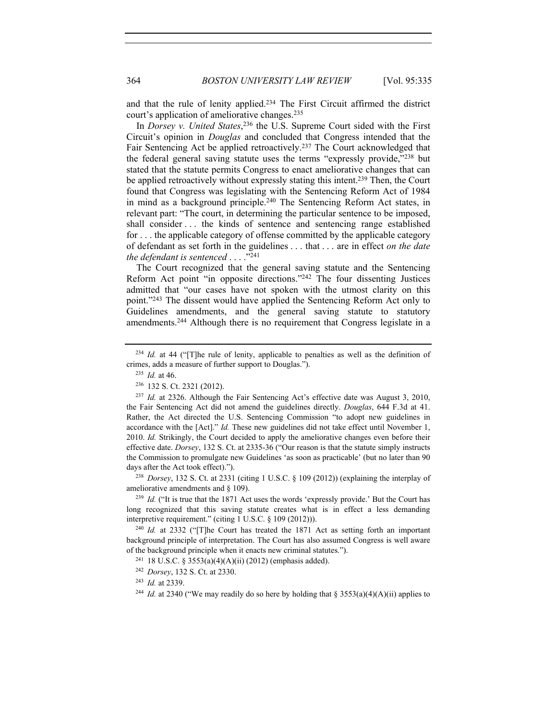and that the rule of lenity applied.234 The First Circuit affirmed the district court's application of ameliorative changes.235

In *Dorsey v. United States*, 236 the U.S. Supreme Court sided with the First Circuit's opinion in *Douglas* and concluded that Congress intended that the Fair Sentencing Act be applied retroactively.<sup>237</sup> The Court acknowledged that the federal general saving statute uses the terms "expressly provide,"238 but stated that the statute permits Congress to enact ameliorative changes that can be applied retroactively without expressly stating this intent.<sup>239</sup> Then, the Court found that Congress was legislating with the Sentencing Reform Act of 1984 in mind as a background principle.<sup>240</sup> The Sentencing Reform Act states, in relevant part: "The court, in determining the particular sentence to be imposed, shall consider . . . the kinds of sentence and sentencing range established for . . . the applicable category of offense committed by the applicable category of defendant as set forth in the guidelines . . . that . . . are in effect *on the date the defendant is sentenced* . . . ."241

The Court recognized that the general saving statute and the Sentencing Reform Act point "in opposite directions."242 The four dissenting Justices admitted that "our cases have not spoken with the utmost clarity on this point."243 The dissent would have applied the Sentencing Reform Act only to Guidelines amendments, and the general saving statute to statutory amendments.244 Although there is no requirement that Congress legislate in a

<sup>238</sup> *Dorsey*, 132 S. Ct. at 2331 (citing 1 U.S.C. § 109 (2012)) (explaining the interplay of ameliorative amendments and § 109).

<sup>239</sup> *Id.* ("It is true that the 1871 Act uses the words 'expressly provide.' But the Court has long recognized that this saving statute creates what is in effect a less demanding interpretive requirement." (citing 1 U.S.C. § 109 (2012))).

<sup>240</sup> *Id.* at 2332 ("[T]he Court has treated the 1871 Act as setting forth an important background principle of interpretation. The Court has also assumed Congress is well aware of the background principle when it enacts new criminal statutes."). <sup>241</sup> 18 U.S.C. § 3553(a)(4)(A)(ii) (2012) (emphasis added).

<sup>&</sup>lt;sup>234</sup> *Id.* at 44 ("The rule of lenity, applicable to penalties as well as the definition of crimes, adds a measure of further support to Douglas.").

<sup>235</sup> *Id.* at 46.

<sup>&</sup>lt;sup>236</sup> 132 S. Ct. 2321 (2012).<br><sup>237</sup> *Id.* at 2326. Although the Fair Sentencing Act's effective date was August 3, 2010, the Fair Sentencing Act did not amend the guidelines directly. *Douglas*, 644 F.3d at 41. Rather, the Act directed the U.S. Sentencing Commission "to adopt new guidelines in accordance with the [Act]." *Id.* These new guidelines did not take effect until November 1, 2010. *Id.* Strikingly, the Court decided to apply the ameliorative changes even before their effective date. *Dorsey*, 132 S. Ct. at 2335-36 ("Our reason is that the statute simply instructs the Commission to promulgate new Guidelines 'as soon as practicable' (but no later than 90 days after the Act took effect).").

<sup>242</sup> *Dorsey*, 132 S. Ct. at 2330.

<sup>243</sup> *Id.* at 2339.

<sup>&</sup>lt;sup>244</sup> *Id.* at 2340 ("We may readily do so here by holding that § 3553(a)(4)(A)(ii) applies to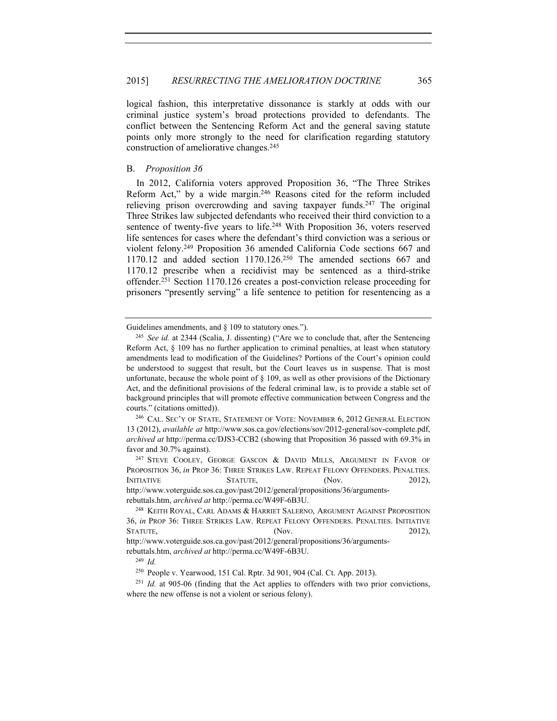logical fashion, this interpretative dissonance is starkly at odds with our criminal justice system's broad protections provided to defendants. The conflict between the Sentencing Reform Act and the general saving statute points only more strongly to the need for clarification regarding statutory construction of ameliorative changes.245

# B. *Proposition 36*

In 2012, California voters approved Proposition 36, "The Three Strikes Reform Act," by a wide margin.246 Reasons cited for the reform included relieving prison overcrowding and saving taxpayer funds.<sup>247</sup> The original Three Strikes law subjected defendants who received their third conviction to a sentence of twenty-five years to life.<sup>248</sup> With Proposition 36, voters reserved life sentences for cases where the defendant's third conviction was a serious or violent felony.249 Proposition 36 amended California Code sections 667 and 1170.12 and added section 1170.126.250 The amended sections 667 and 1170.12 prescribe when a recidivist may be sentenced as a third-strike offender.251 Section 1170.126 creates a post-conviction release proceeding for prisoners "presently serving" a life sentence to petition for resentencing as a

Guidelines amendments, and § 109 to statutory ones.").<br><sup>245</sup> *See id.* at 2344 (Scalia, J. dissenting) ("Are we to conclude that, after the Sentencing Reform Act,  $\S$  109 has no further application to criminal penalties, at least when statutory amendments lead to modification of the Guidelines? Portions of the Court's opinion could be understood to suggest that result, but the Court leaves us in suspense. That is most unfortunate, because the whole point of  $\S$  109, as well as other provisions of the Dictionary Act, and the definitional provisions of the federal criminal law, is to provide a stable set of background principles that will promote effective communication between Congress and the courts." (citations omitted)).<br><sup>246</sup> CAL. SEC'Y OF STATE, STATEMENT OF VOTE: NOVEMBER 6, 2012 GENERAL ELECTION

<sup>13</sup> (2012), *available at* http://www.sos.ca.gov/elections/sov/2012-general/sov-complete.pdf, *archived at* http://perma.cc/DJS3-CCB2 (showing that Proposition 36 passed with 69.3% in favor and 30.7% against).<br><sup>247</sup> STEVE COOLEY, GEORGE GASCON & DAVID MILLS, ARGUMENT IN FAVOR OF

PROPOSITION 36, *in* PROP 36: THREE STRIKES LAW. REPEAT FELONY OFFENDERS. PENALTIES. INITIATIVE STATUTE, (Nov. 2012), http://www.voterguide.sos.ca.gov/past/2012/general/propositions/36/argumentsrebuttals.htm, *archived at* http://perma.cc/W49F-6B3U.

<sup>&</sup>lt;sup>248</sup> KEITH ROYAL, CARL ADAMS & HARRIET SALERNO, ARGUMENT AGAINST PROPOSITION 36, *in* PROP 36: THREE STRIKES LAW. REPEAT FELONY OFFENDERS. PENALTIES. INITIATIVE STATUTE, (Nov. 2012), http://www.voterguide.sos.ca.gov/past/2012/general/propositions/36/argumentsrebuttals.htm, *archived at* http://perma.cc/W49F-6B3U.

<sup>249</sup> *Id.* 

<sup>250</sup> People v. Yearwood, 151 Cal. Rptr. 3d 901, 904 (Cal. Ct. App. 2013).

<sup>251</sup> *Id.* at 905-06 (finding that the Act applies to offenders with two prior convictions, where the new offense is not a violent or serious felony).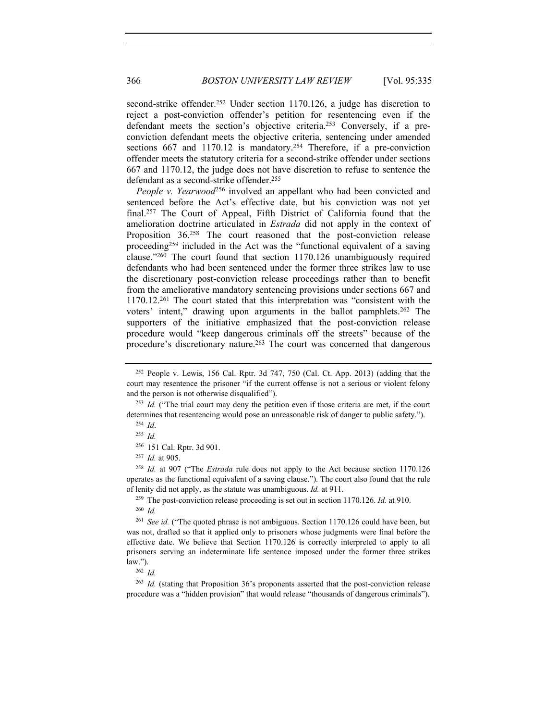second-strike offender.<sup>252</sup> Under section 1170.126, a judge has discretion to reject a post-conviction offender's petition for resentencing even if the defendant meets the section's objective criteria.253 Conversely, if a preconviction defendant meets the objective criteria, sentencing under amended sections 667 and 1170.12 is mandatory.<sup>254</sup> Therefore, if a pre-conviction offender meets the statutory criteria for a second-strike offender under sections 667 and 1170.12, the judge does not have discretion to refuse to sentence the defendant as a second-strike offender.255

*People v. Yearwood*<sup>256</sup> involved an appellant who had been convicted and sentenced before the Act's effective date, but his conviction was not yet final.257 The Court of Appeal, Fifth District of California found that the amelioration doctrine articulated in *Estrada* did not apply in the context of Proposition 36.<sup>258</sup> The court reasoned that the post-conviction release proceeding259 included in the Act was the "functional equivalent of a saving clause."260 The court found that section 1170.126 unambiguously required defendants who had been sentenced under the former three strikes law to use the discretionary post-conviction release proceedings rather than to benefit from the ameliorative mandatory sentencing provisions under sections 667 and 1170.12.261 The court stated that this interpretation was "consistent with the voters' intent," drawing upon arguments in the ballot pamphlets.262 The supporters of the initiative emphasized that the post-conviction release procedure would "keep dangerous criminals off the streets" because of the procedure's discretionary nature.263 The court was concerned that dangerous

<sup>258</sup> *Id.* at 907 ("The *Estrada* rule does not apply to the Act because section 1170.126 operates as the functional equivalent of a saving clause."). The court also found that the rule of lenity did not apply, as the statute was unambiguous. *Id.* at 911.

<sup>259</sup> The post-conviction release proceeding is set out in section 1170.126. *Id.* at 910.

<sup>263</sup> *Id.* (stating that Proposition 36's proponents asserted that the post-conviction release procedure was a "hidden provision" that would release "thousands of dangerous criminals").

 $252$  People v. Lewis, 156 Cal. Rptr. 3d 747, 750 (Cal. Ct. App. 2013) (adding that the court may resentence the prisoner "if the current offense is not a serious or violent felony and the person is not otherwise disqualified").

<sup>&</sup>lt;sup>253</sup> *Id.* ("The trial court may deny the petition even if those criteria are met, if the court determines that resentencing would pose an unreasonable risk of danger to public safety.").

<sup>254</sup> *Id*.

<sup>255</sup> *Id.*

<sup>256</sup> 151 Cal. Rptr. 3d 901.

<sup>257</sup> *Id.* at 905.

<sup>260</sup> *Id.* 

<sup>261</sup> *See id.* ("The quoted phrase is not ambiguous. Section 1170.126 could have been, but was not, drafted so that it applied only to prisoners whose judgments were final before the effective date. We believe that Section 1170.126 is correctly interpreted to apply to all prisoners serving an indeterminate life sentence imposed under the former three strikes  $\frac{\text{law."}}{262}$  *Id.*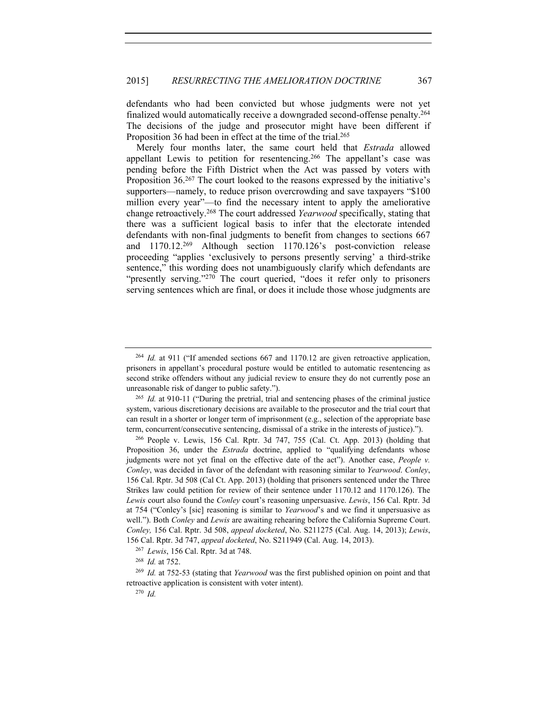defendants who had been convicted but whose judgments were not yet finalized would automatically receive a downgraded second-offense penalty.264 The decisions of the judge and prosecutor might have been different if Proposition 36 had been in effect at the time of the trial.<sup>265</sup>

Merely four months later, the same court held that *Estrada* allowed appellant Lewis to petition for resentencing.266 The appellant's case was pending before the Fifth District when the Act was passed by voters with Proposition 36.<sup>267</sup> The court looked to the reasons expressed by the initiative's supporters—namely, to reduce prison overcrowding and save taxpayers "\$100" million every year"—to find the necessary intent to apply the ameliorative change retroactively.268 The court addressed *Yearwood* specifically, stating that there was a sufficient logical basis to infer that the electorate intended defendants with non-final judgments to benefit from changes to sections 667 and 1170.12.269 Although section 1170.126's post-conviction release proceeding "applies 'exclusively to persons presently serving' a third-strike sentence," this wording does not unambiguously clarify which defendants are "presently serving."<sup>270</sup> The court queried, "does it refer only to prisoners serving sentences which are final, or does it include those whose judgments are

<sup>264</sup> *Id.* at 911 ("If amended sections 667 and 1170.12 are given retroactive application, prisoners in appellant's procedural posture would be entitled to automatic resentencing as second strike offenders without any judicial review to ensure they do not currently pose an unreasonable risk of danger to public safety.").

<sup>265</sup> *Id.* at 910-11 ("During the pretrial, trial and sentencing phases of the criminal justice system, various discretionary decisions are available to the prosecutor and the trial court that can result in a shorter or longer term of imprisonment (e.g., selection of the appropriate base term, concurrent/consecutive sentencing, dismissal of a strike in the interests of justice).").

<sup>266</sup> People v. Lewis, 156 Cal. Rptr. 3d 747, 755 (Cal. Ct. App. 2013) (holding that Proposition 36, under the *Estrada* doctrine, applied to "qualifying defendants whose judgments were not yet final on the effective date of the act"). Another case, *People v. Conley*, was decided in favor of the defendant with reasoning similar to *Yearwood*. *Conley*, 156 Cal. Rptr. 3d 508 (Cal Ct. App. 2013) (holding that prisoners sentenced under the Three Strikes law could petition for review of their sentence under 1170.12 and 1170.126). The *Lewis* court also found the *Conley* court's reasoning unpersuasive. *Lewis*, 156 Cal. Rptr. 3d at 754 ("Conley's [sic] reasoning is similar to *Yearwood*'s and we find it unpersuasive as well."). Both *Conley* and *Lewis* are awaiting rehearing before the California Supreme Court. *Conley,* 156 Cal. Rptr. 3d 508, *appeal docketed*, No. S211275 (Cal. Aug. 14, 2013); *Lewis*, 156 Cal. Rptr. 3d 747, *appeal docketed*, No. S211949 (Cal. Aug. 14, 2013). 267 *Lewis*, 156 Cal. Rptr. 3d at 748.

<sup>268</sup> *Id.* at 752.

<sup>269</sup> *Id.* at 752-53 (stating that *Yearwood* was the first published opinion on point and that retroactive application is consistent with voter intent). 270 *Id.*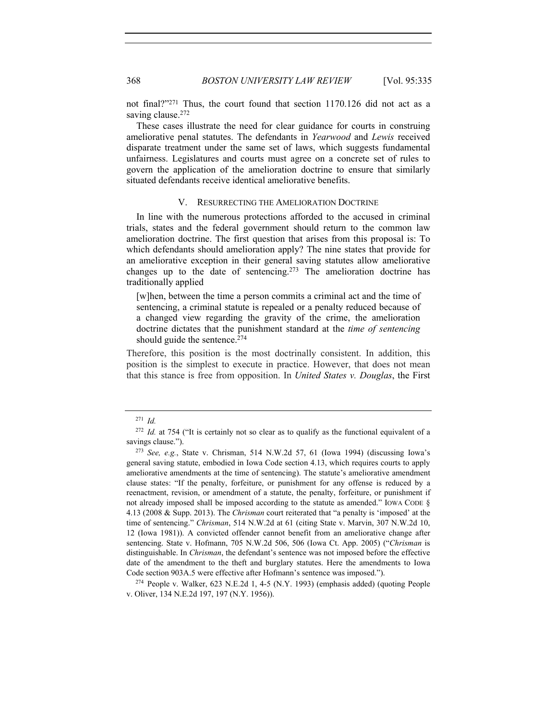not final?"271 Thus, the court found that section 1170.126 did not act as a saving clause.<sup>272</sup>

These cases illustrate the need for clear guidance for courts in construing ameliorative penal statutes. The defendants in *Yearwood* and *Lewis* received disparate treatment under the same set of laws, which suggests fundamental unfairness. Legislatures and courts must agree on a concrete set of rules to govern the application of the amelioration doctrine to ensure that similarly situated defendants receive identical ameliorative benefits.

### V. RESURRECTING THE AMELIORATION DOCTRINE

In line with the numerous protections afforded to the accused in criminal trials, states and the federal government should return to the common law amelioration doctrine. The first question that arises from this proposal is: To which defendants should amelioration apply? The nine states that provide for an ameliorative exception in their general saving statutes allow ameliorative changes up to the date of sentencing.273 The amelioration doctrine has traditionally applied

[w]hen, between the time a person commits a criminal act and the time of sentencing, a criminal statute is repealed or a penalty reduced because of a changed view regarding the gravity of the crime, the amelioration doctrine dictates that the punishment standard at the *time of sentencing* should guide the sentence.<sup>274</sup>

Therefore, this position is the most doctrinally consistent. In addition, this position is the simplest to execute in practice. However, that does not mean that this stance is free from opposition. In *United States v. Douglas*, the First

v. Oliver, 134 N.E.2d 197, 197 (N.Y. 1956)).

<sup>271</sup> *Id.* 

<sup>&</sup>lt;sup>272</sup> *Id.* at 754 ("It is certainly not so clear as to qualify as the functional equivalent of a savings clause."). 273 *See, e.g.*, State v. Chrisman, 514 N.W.2d 57, 61 (Iowa 1994) (discussing Iowa's

general saving statute, embodied in Iowa Code section 4.13, which requires courts to apply ameliorative amendments at the time of sentencing). The statute's ameliorative amendment clause states: "If the penalty, forfeiture, or punishment for any offense is reduced by a reenactment, revision, or amendment of a statute, the penalty, forfeiture, or punishment if not already imposed shall be imposed according to the statute as amended." IOWA CODE § 4.13 (2008 & Supp. 2013). The *Chrisman* court reiterated that "a penalty is 'imposed' at the time of sentencing." *Chrisman*, 514 N.W.2d at 61 (citing State v. Marvin, 307 N.W.2d 10, 12 (Iowa 1981)). A convicted offender cannot benefit from an ameliorative change after sentencing. State v. Hofmann, 705 N.W.2d 506, 506 (Iowa Ct. App. 2005) ("*Chrisman* is distinguishable. In *Chrisman*, the defendant's sentence was not imposed before the effective date of the amendment to the theft and burglary statutes. Here the amendments to Iowa Code section 903A.5 were effective after Hofmann's sentence was imposed."). 274 People v. Walker, 623 N.E.2d 1, 4-5 (N.Y. 1993) (emphasis added) (quoting People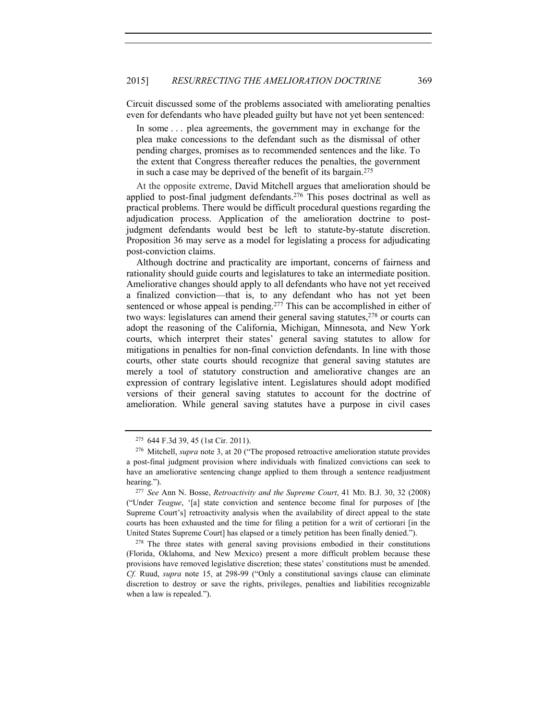Circuit discussed some of the problems associated with ameliorating penalties even for defendants who have pleaded guilty but have not yet been sentenced:

In some . . . plea agreements, the government may in exchange for the plea make concessions to the defendant such as the dismissal of other pending charges, promises as to recommended sentences and the like. To the extent that Congress thereafter reduces the penalties, the government in such a case may be deprived of the benefit of its bargain.275

At the opposite extreme, David Mitchell argues that amelioration should be applied to post-final judgment defendants.276 This poses doctrinal as well as practical problems. There would be difficult procedural questions regarding the adjudication process. Application of the amelioration doctrine to postjudgment defendants would best be left to statute-by-statute discretion. Proposition 36 may serve as a model for legislating a process for adjudicating post-conviction claims.

Although doctrine and practicality are important, concerns of fairness and rationality should guide courts and legislatures to take an intermediate position. Ameliorative changes should apply to all defendants who have not yet received a finalized conviction—that is, to any defendant who has not yet been sentenced or whose appeal is pending.<sup>277</sup> This can be accomplished in either of two ways: legislatures can amend their general saving statutes, $278$  or courts can adopt the reasoning of the California, Michigan, Minnesota, and New York courts, which interpret their states' general saving statutes to allow for mitigations in penalties for non-final conviction defendants. In line with those courts, other state courts should recognize that general saving statutes are merely a tool of statutory construction and ameliorative changes are an expression of contrary legislative intent. Legislatures should adopt modified versions of their general saving statutes to account for the doctrine of amelioration. While general saving statutes have a purpose in civil cases

<sup>275</sup> 644 F.3d 39, 45 (1st Cir. 2011). 276 Mitchell, *supra* note 3, at 20 ("The proposed retroactive amelioration statute provides a post-final judgment provision where individuals with finalized convictions can seek to have an ameliorative sentencing change applied to them through a sentence readjustment hearing."). 277 *See* Ann N. Bosse, *Retroactivity and the Supreme Court*, 41 MD. B.J. 30, 32 (2008)

<sup>(&</sup>quot;Under *Teague*, '[a] state conviction and sentence become final for purposes of [the Supreme Court's] retroactivity analysis when the availability of direct appeal to the state courts has been exhausted and the time for filing a petition for a writ of certiorari [in the United States Supreme Court] has elapsed or a timely petition has been finally denied.").

<sup>&</sup>lt;sup>278</sup> The three states with general saving provisions embodied in their constitutions (Florida, Oklahoma, and New Mexico) present a more difficult problem because these provisions have removed legislative discretion; these states' constitutions must be amended. *Cf.* Ruud, *supra* note 15, at 298-99 ("Only a constitutional savings clause can eliminate discretion to destroy or save the rights, privileges, penalties and liabilities recognizable when a law is repealed.").